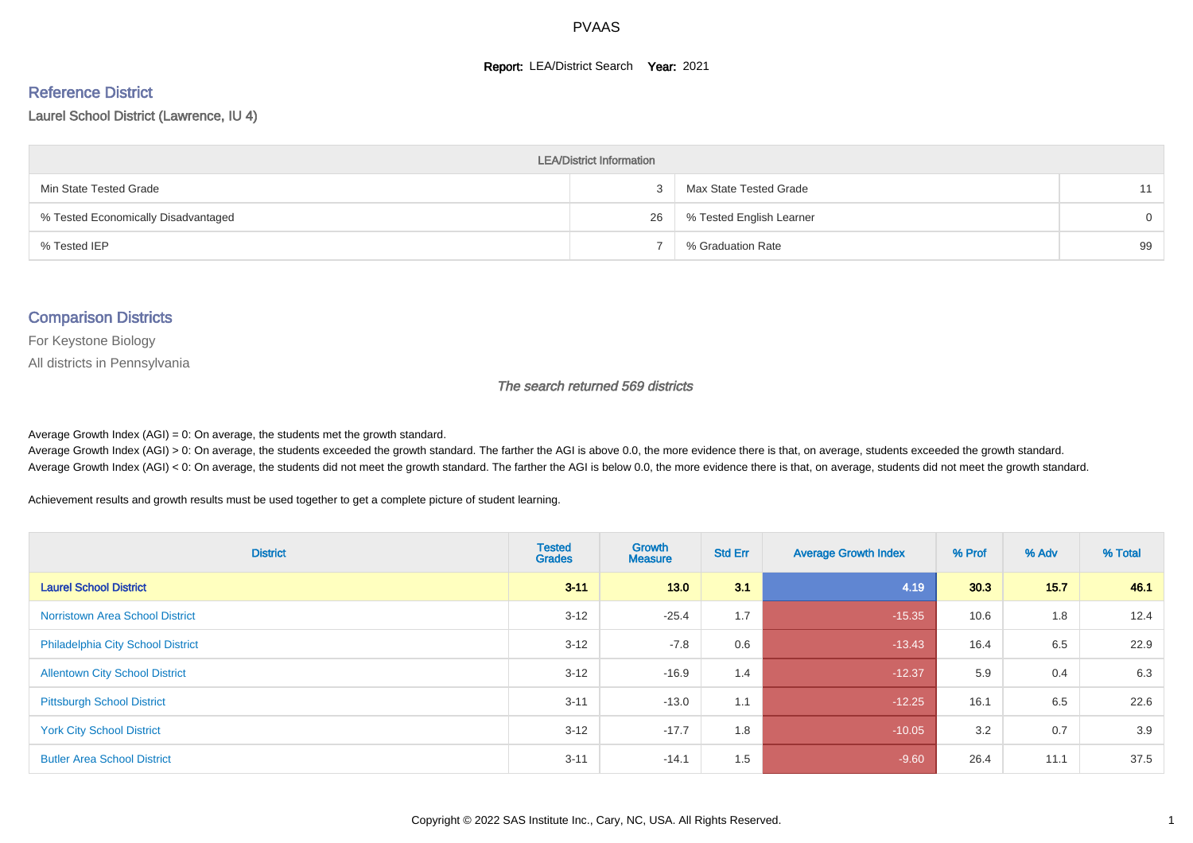#### **Report: LEA/District Search Year: 2021**

# Reference District

#### Laurel School District (Lawrence, IU 4)

| <b>LEA/District Information</b>     |    |                          |          |  |  |  |  |  |  |  |
|-------------------------------------|----|--------------------------|----------|--|--|--|--|--|--|--|
| Min State Tested Grade              |    | Max State Tested Grade   | 11       |  |  |  |  |  |  |  |
| % Tested Economically Disadvantaged | 26 | % Tested English Learner | $\Omega$ |  |  |  |  |  |  |  |
| % Tested IEP                        |    | % Graduation Rate        | 99       |  |  |  |  |  |  |  |

#### Comparison Districts

For Keystone Biology

All districts in Pennsylvania

The search returned 569 districts

Average Growth Index  $(AGI) = 0$ : On average, the students met the growth standard.

Average Growth Index (AGI) > 0: On average, the students exceeded the growth standard. The farther the AGI is above 0.0, the more evidence there is that, on average, students exceeded the growth standard. Average Growth Index (AGI) < 0: On average, the students did not meet the growth standard. The farther the AGI is below 0.0, the more evidence there is that, on average, students did not meet the growth standard.

Achievement results and growth results must be used together to get a complete picture of student learning.

| <b>District</b>                          | <b>Tested</b><br><b>Grades</b> | Growth<br><b>Measure</b> | <b>Std Err</b> | <b>Average Growth Index</b> | % Prof | % Adv | % Total |
|------------------------------------------|--------------------------------|--------------------------|----------------|-----------------------------|--------|-------|---------|
| <b>Laurel School District</b>            | $3 - 11$                       | 13.0                     | 3.1            | 4.19                        | 30.3   | 15.7  | 46.1    |
| <b>Norristown Area School District</b>   | $3 - 12$                       | $-25.4$                  | 1.7            | $-15.35$                    | 10.6   | 1.8   | 12.4    |
| <b>Philadelphia City School District</b> | $3 - 12$                       | $-7.8$                   | 0.6            | $-13.43$                    | 16.4   | 6.5   | 22.9    |
| <b>Allentown City School District</b>    | $3 - 12$                       | $-16.9$                  | 1.4            | $-12.37$                    | 5.9    | 0.4   | 6.3     |
| <b>Pittsburgh School District</b>        | $3 - 11$                       | $-13.0$                  | 1.1            | $-12.25$                    | 16.1   | 6.5   | 22.6    |
| <b>York City School District</b>         | $3 - 12$                       | $-17.7$                  | 1.8            | $-10.05$                    | 3.2    | 0.7   | 3.9     |
| <b>Butler Area School District</b>       | $3 - 11$                       | $-14.1$                  | 1.5            | $-9.60$                     | 26.4   | 11.1  | 37.5    |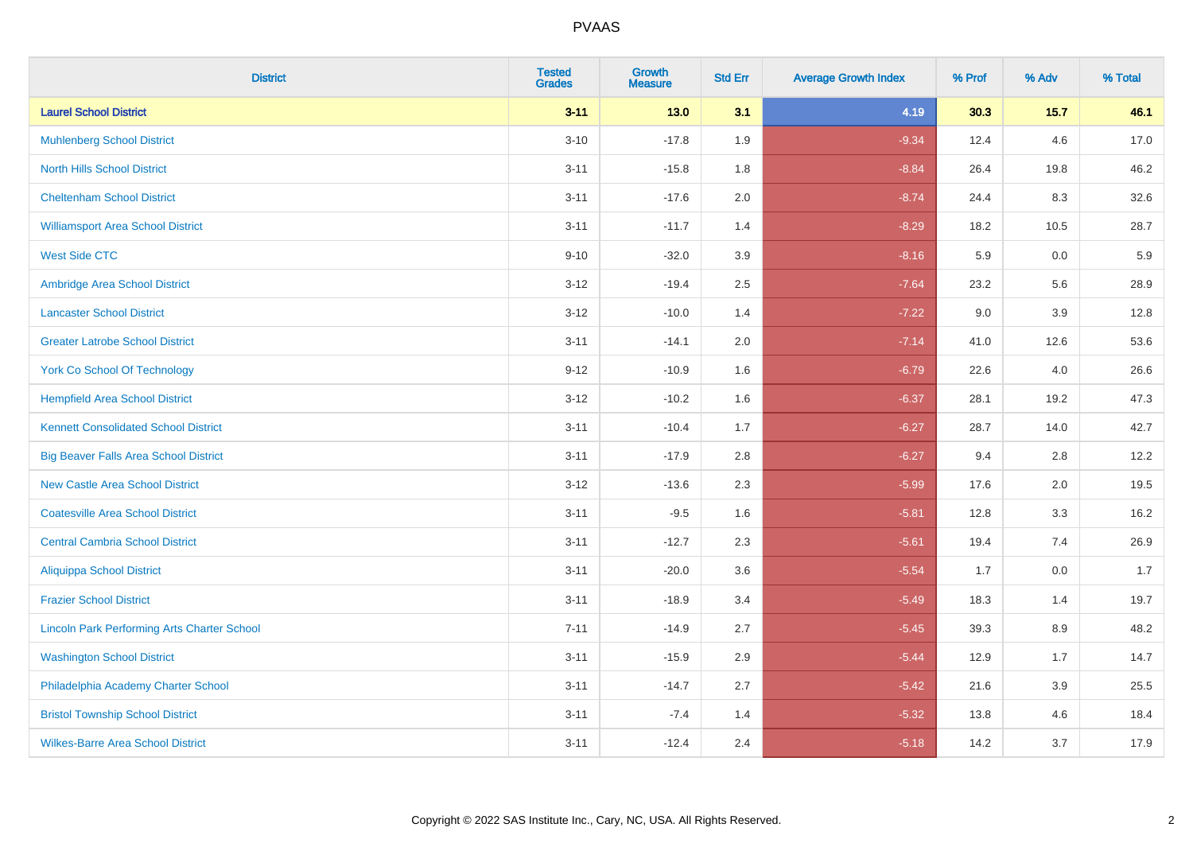| <b>District</b>                                    | <b>Tested</b><br><b>Grades</b> | Growth<br><b>Measure</b> | <b>Std Err</b> | <b>Average Growth Index</b> | % Prof | % Adv   | % Total |
|----------------------------------------------------|--------------------------------|--------------------------|----------------|-----------------------------|--------|---------|---------|
| <b>Laurel School District</b>                      | $3 - 11$                       | 13.0                     | 3.1            | 4.19                        | 30.3   | $15.7$  | 46.1    |
| <b>Muhlenberg School District</b>                  | $3 - 10$                       | $-17.8$                  | 1.9            | $-9.34$                     | 12.4   | 4.6     | 17.0    |
| <b>North Hills School District</b>                 | $3 - 11$                       | $-15.8$                  | 1.8            | $-8.84$                     | 26.4   | 19.8    | 46.2    |
| <b>Cheltenham School District</b>                  | $3 - 11$                       | $-17.6$                  | 2.0            | $-8.74$                     | 24.4   | 8.3     | 32.6    |
| <b>Williamsport Area School District</b>           | $3 - 11$                       | $-11.7$                  | 1.4            | $-8.29$                     | 18.2   | 10.5    | 28.7    |
| <b>West Side CTC</b>                               | $9 - 10$                       | $-32.0$                  | 3.9            | $-8.16$                     | 5.9    | 0.0     | 5.9     |
| Ambridge Area School District                      | $3 - 12$                       | $-19.4$                  | 2.5            | $-7.64$                     | 23.2   | 5.6     | 28.9    |
| <b>Lancaster School District</b>                   | $3 - 12$                       | $-10.0$                  | 1.4            | $-7.22$                     | 9.0    | 3.9     | 12.8    |
| <b>Greater Latrobe School District</b>             | $3 - 11$                       | $-14.1$                  | 2.0            | $-7.14$                     | 41.0   | 12.6    | 53.6    |
| <b>York Co School Of Technology</b>                | $9 - 12$                       | $-10.9$                  | 1.6            | $-6.79$                     | 22.6   | 4.0     | 26.6    |
| <b>Hempfield Area School District</b>              | $3-12$                         | $-10.2$                  | 1.6            | $-6.37$                     | 28.1   | 19.2    | 47.3    |
| <b>Kennett Consolidated School District</b>        | $3 - 11$                       | $-10.4$                  | 1.7            | $-6.27$                     | 28.7   | 14.0    | 42.7    |
| <b>Big Beaver Falls Area School District</b>       | $3 - 11$                       | $-17.9$                  | 2.8            | $-6.27$                     | 9.4    | 2.8     | 12.2    |
| <b>New Castle Area School District</b>             | $3-12$                         | $-13.6$                  | 2.3            | $-5.99$                     | 17.6   | 2.0     | 19.5    |
| <b>Coatesville Area School District</b>            | $3 - 11$                       | $-9.5$                   | 1.6            | $-5.81$                     | 12.8   | 3.3     | 16.2    |
| <b>Central Cambria School District</b>             | $3 - 11$                       | $-12.7$                  | 2.3            | $-5.61$                     | 19.4   | 7.4     | 26.9    |
| <b>Aliquippa School District</b>                   | $3 - 11$                       | $-20.0$                  | 3.6            | $-5.54$                     | 1.7    | 0.0     | 1.7     |
| <b>Frazier School District</b>                     | $3 - 11$                       | $-18.9$                  | 3.4            | $-5.49$                     | 18.3   | 1.4     | 19.7    |
| <b>Lincoln Park Performing Arts Charter School</b> | $7 - 11$                       | $-14.9$                  | 2.7            | $-5.45$                     | 39.3   | 8.9     | 48.2    |
| <b>Washington School District</b>                  | $3 - 11$                       | $-15.9$                  | 2.9            | $-5.44$                     | 12.9   | 1.7     | 14.7    |
| Philadelphia Academy Charter School                | $3 - 11$                       | $-14.7$                  | 2.7            | $-5.42$                     | 21.6   | $3.9\,$ | 25.5    |
| <b>Bristol Township School District</b>            | $3 - 11$                       | $-7.4$                   | 1.4            | $-5.32$                     | 13.8   | 4.6     | 18.4    |
| <b>Wilkes-Barre Area School District</b>           | $3 - 11$                       | $-12.4$                  | 2.4            | $-5.18$                     | 14.2   | 3.7     | 17.9    |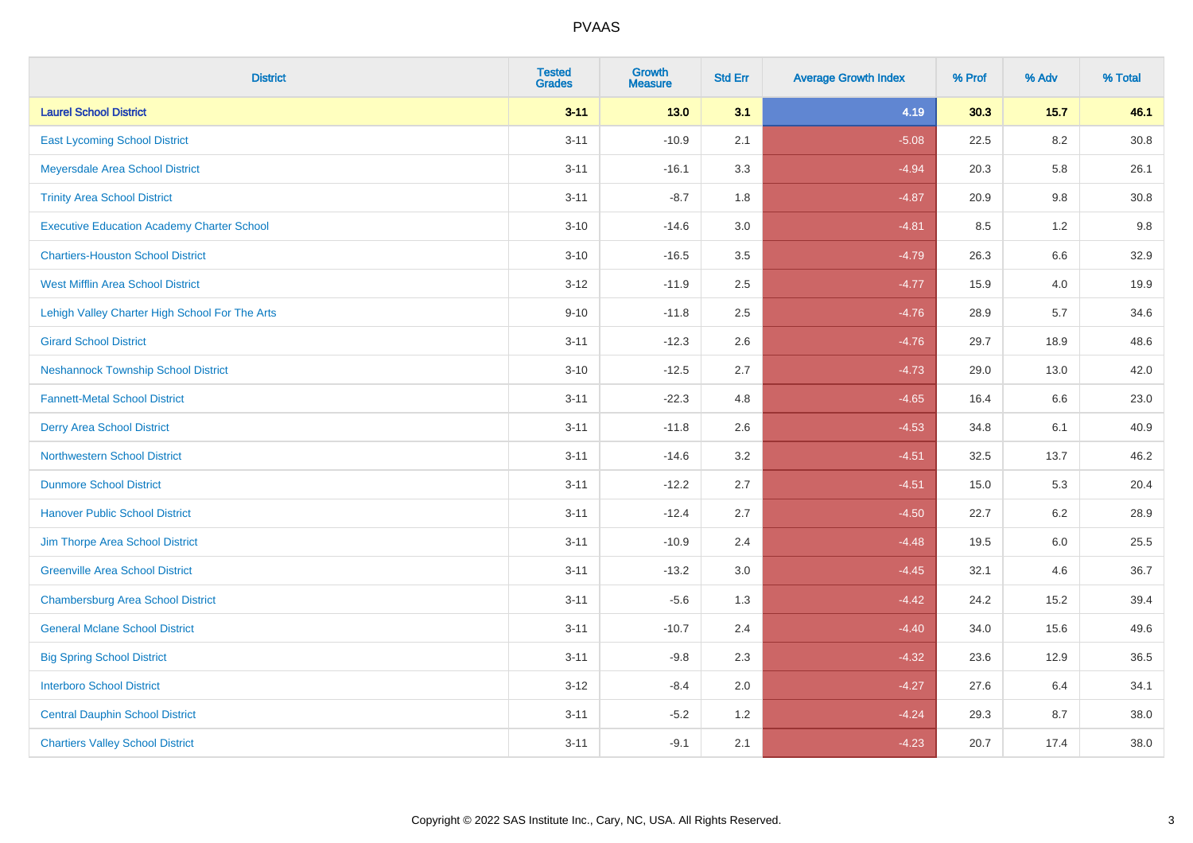| <b>District</b>                                   | <b>Tested</b><br><b>Grades</b> | <b>Growth</b><br><b>Measure</b> | <b>Std Err</b> | <b>Average Growth Index</b> | % Prof | % Adv   | % Total  |
|---------------------------------------------------|--------------------------------|---------------------------------|----------------|-----------------------------|--------|---------|----------|
| <b>Laurel School District</b>                     | $3 - 11$                       | $13.0$                          | 3.1            | 4.19                        | 30.3   | 15.7    | 46.1     |
| <b>East Lycoming School District</b>              | $3 - 11$                       | $-10.9$                         | 2.1            | $-5.08$                     | 22.5   | $8.2\,$ | $30.8\,$ |
| Meyersdale Area School District                   | $3 - 11$                       | $-16.1$                         | 3.3            | $-4.94$                     | 20.3   | 5.8     | 26.1     |
| <b>Trinity Area School District</b>               | $3 - 11$                       | $-8.7$                          | 1.8            | $-4.87$                     | 20.9   | 9.8     | 30.8     |
| <b>Executive Education Academy Charter School</b> | $3 - 10$                       | $-14.6$                         | 3.0            | $-4.81$                     | 8.5    | 1.2     | 9.8      |
| <b>Chartiers-Houston School District</b>          | $3 - 10$                       | $-16.5$                         | 3.5            | $-4.79$                     | 26.3   | $6.6\,$ | 32.9     |
| <b>West Mifflin Area School District</b>          | $3 - 12$                       | $-11.9$                         | 2.5            | $-4.77$                     | 15.9   | 4.0     | 19.9     |
| Lehigh Valley Charter High School For The Arts    | $9 - 10$                       | $-11.8$                         | 2.5            | $-4.76$                     | 28.9   | 5.7     | 34.6     |
| <b>Girard School District</b>                     | $3 - 11$                       | $-12.3$                         | 2.6            | $-4.76$                     | 29.7   | 18.9    | 48.6     |
| <b>Neshannock Township School District</b>        | $3 - 10$                       | $-12.5$                         | 2.7            | $-4.73$                     | 29.0   | 13.0    | 42.0     |
| <b>Fannett-Metal School District</b>              | $3 - 11$                       | $-22.3$                         | 4.8            | $-4.65$                     | 16.4   | 6.6     | 23.0     |
| <b>Derry Area School District</b>                 | $3 - 11$                       | $-11.8$                         | 2.6            | $-4.53$                     | 34.8   | 6.1     | 40.9     |
| <b>Northwestern School District</b>               | $3 - 11$                       | $-14.6$                         | 3.2            | $-4.51$                     | 32.5   | 13.7    | 46.2     |
| <b>Dunmore School District</b>                    | $3 - 11$                       | $-12.2$                         | 2.7            | $-4.51$                     | 15.0   | 5.3     | 20.4     |
| <b>Hanover Public School District</b>             | $3 - 11$                       | $-12.4$                         | 2.7            | $-4.50$                     | 22.7   | 6.2     | 28.9     |
| Jim Thorpe Area School District                   | $3 - 11$                       | $-10.9$                         | 2.4            | $-4.48$                     | 19.5   | $6.0\,$ | 25.5     |
| <b>Greenville Area School District</b>            | $3 - 11$                       | $-13.2$                         | 3.0            | $-4.45$                     | 32.1   | 4.6     | 36.7     |
| <b>Chambersburg Area School District</b>          | $3 - 11$                       | $-5.6$                          | 1.3            | $-4.42$                     | 24.2   | 15.2    | 39.4     |
| <b>General Mclane School District</b>             | $3 - 11$                       | $-10.7$                         | 2.4            | $-4.40$                     | 34.0   | 15.6    | 49.6     |
| <b>Big Spring School District</b>                 | $3 - 11$                       | $-9.8$                          | 2.3            | $-4.32$                     | 23.6   | 12.9    | 36.5     |
| <b>Interboro School District</b>                  | $3 - 12$                       | $-8.4$                          | 2.0            | $-4.27$                     | 27.6   | 6.4     | 34.1     |
| <b>Central Dauphin School District</b>            | $3 - 11$                       | $-5.2$                          | 1.2            | $-4.24$                     | 29.3   | 8.7     | 38.0     |
| <b>Chartiers Valley School District</b>           | $3 - 11$                       | $-9.1$                          | 2.1            | $-4.23$                     | 20.7   | 17.4    | 38.0     |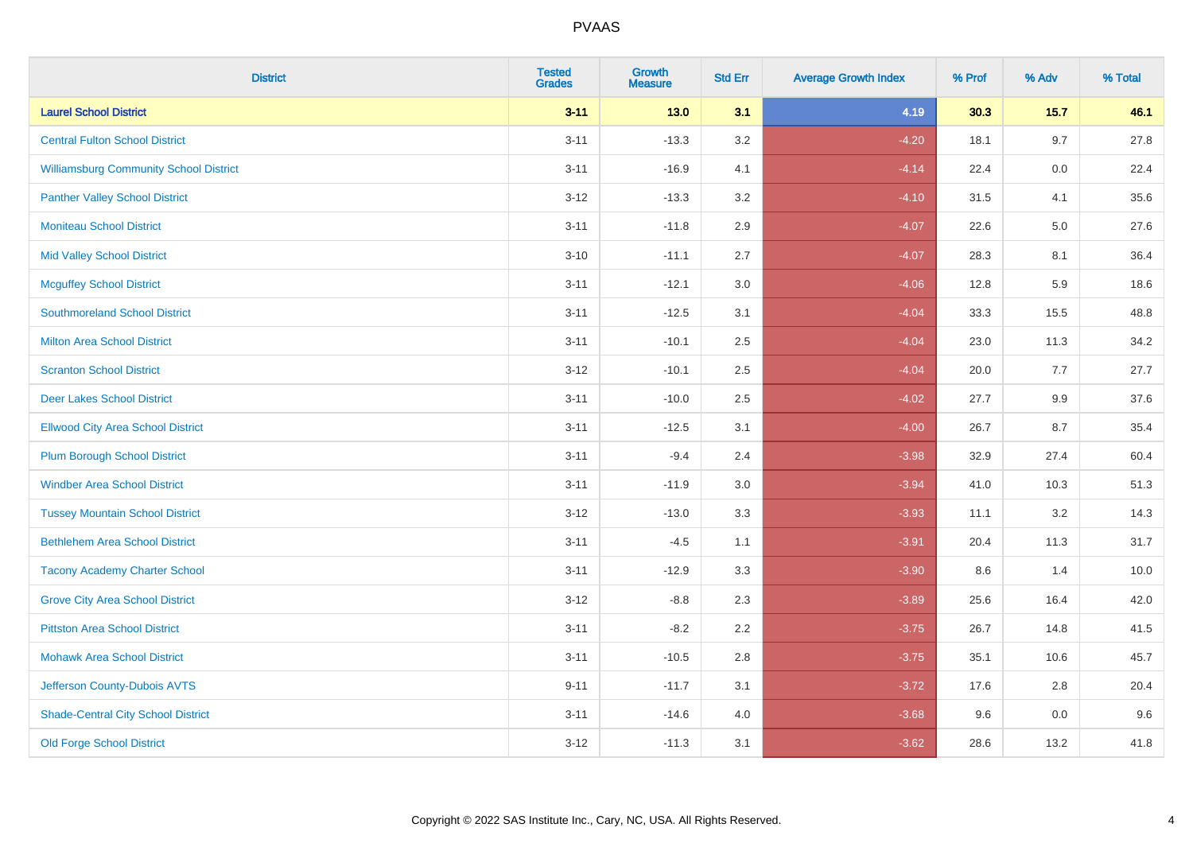| <b>District</b>                               | <b>Tested</b><br><b>Grades</b> | <b>Growth</b><br><b>Measure</b> | <b>Std Err</b> | <b>Average Growth Index</b> | % Prof | % Adv  | % Total |
|-----------------------------------------------|--------------------------------|---------------------------------|----------------|-----------------------------|--------|--------|---------|
| <b>Laurel School District</b>                 | $3 - 11$                       | $13.0$                          | 3.1            | 4.19                        | 30.3   | $15.7$ | 46.1    |
| <b>Central Fulton School District</b>         | $3 - 11$                       | $-13.3$                         | 3.2            | $-4.20$                     | 18.1   | 9.7    | 27.8    |
| <b>Williamsburg Community School District</b> | $3 - 11$                       | $-16.9$                         | 4.1            | $-4.14$                     | 22.4   | 0.0    | 22.4    |
| <b>Panther Valley School District</b>         | $3 - 12$                       | $-13.3$                         | 3.2            | $-4.10$                     | 31.5   | 4.1    | 35.6    |
| <b>Moniteau School District</b>               | $3 - 11$                       | $-11.8$                         | 2.9            | $-4.07$                     | 22.6   | 5.0    | 27.6    |
| <b>Mid Valley School District</b>             | $3 - 10$                       | $-11.1$                         | 2.7            | $-4.07$                     | 28.3   | 8.1    | 36.4    |
| <b>Mcguffey School District</b>               | $3 - 11$                       | $-12.1$                         | 3.0            | $-4.06$                     | 12.8   | 5.9    | 18.6    |
| <b>Southmoreland School District</b>          | $3 - 11$                       | $-12.5$                         | 3.1            | $-4.04$                     | 33.3   | 15.5   | 48.8    |
| <b>Milton Area School District</b>            | $3 - 11$                       | $-10.1$                         | 2.5            | $-4.04$                     | 23.0   | 11.3   | 34.2    |
| <b>Scranton School District</b>               | $3 - 12$                       | $-10.1$                         | 2.5            | $-4.04$                     | 20.0   | 7.7    | 27.7    |
| <b>Deer Lakes School District</b>             | $3 - 11$                       | $-10.0$                         | 2.5            | $-4.02$                     | 27.7   | 9.9    | 37.6    |
| <b>Ellwood City Area School District</b>      | $3 - 11$                       | $-12.5$                         | 3.1            | $-4.00$                     | 26.7   | 8.7    | 35.4    |
| <b>Plum Borough School District</b>           | $3 - 11$                       | $-9.4$                          | 2.4            | $-3.98$                     | 32.9   | 27.4   | 60.4    |
| <b>Windber Area School District</b>           | $3 - 11$                       | $-11.9$                         | $3.0\,$        | $-3.94$                     | 41.0   | 10.3   | 51.3    |
| <b>Tussey Mountain School District</b>        | $3 - 12$                       | $-13.0$                         | 3.3            | $-3.93$                     | 11.1   | 3.2    | 14.3    |
| <b>Bethlehem Area School District</b>         | $3 - 11$                       | $-4.5$                          | 1.1            | $-3.91$                     | 20.4   | 11.3   | 31.7    |
| <b>Tacony Academy Charter School</b>          | $3 - 11$                       | $-12.9$                         | 3.3            | $-3.90$                     | 8.6    | 1.4    | 10.0    |
| <b>Grove City Area School District</b>        | $3 - 12$                       | $-8.8$                          | 2.3            | $-3.89$                     | 25.6   | 16.4   | 42.0    |
| <b>Pittston Area School District</b>          | $3 - 11$                       | $-8.2$                          | 2.2            | $-3.75$                     | 26.7   | 14.8   | 41.5    |
| <b>Mohawk Area School District</b>            | $3 - 11$                       | $-10.5$                         | 2.8            | $-3.75$                     | 35.1   | 10.6   | 45.7    |
| Jefferson County-Dubois AVTS                  | $9 - 11$                       | $-11.7$                         | 3.1            | $-3.72$                     | 17.6   | 2.8    | 20.4    |
| <b>Shade-Central City School District</b>     | $3 - 11$                       | $-14.6$                         | 4.0            | $-3.68$                     | 9.6    | 0.0    | 9.6     |
| <b>Old Forge School District</b>              | $3 - 12$                       | $-11.3$                         | 3.1            | $-3.62$                     | 28.6   | 13.2   | 41.8    |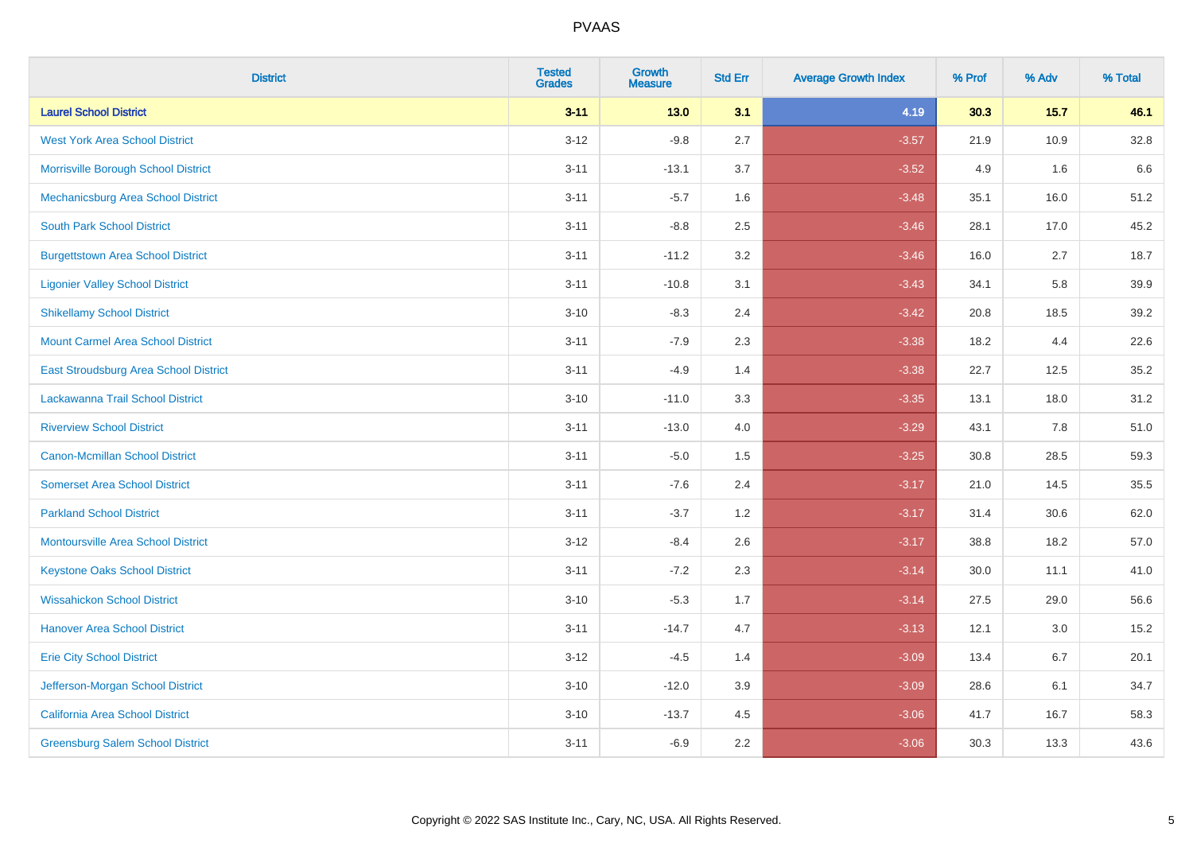| <b>District</b>                           | <b>Tested</b><br><b>Grades</b> | <b>Growth</b><br><b>Measure</b> | <b>Std Err</b> | <b>Average Growth Index</b> | % Prof | % Adv  | % Total |
|-------------------------------------------|--------------------------------|---------------------------------|----------------|-----------------------------|--------|--------|---------|
| <b>Laurel School District</b>             | $3 - 11$                       | 13.0                            | 3.1            | 4.19                        | 30.3   | $15.7$ | 46.1    |
| <b>West York Area School District</b>     | $3 - 12$                       | $-9.8$                          | 2.7            | $-3.57$                     | 21.9   | 10.9   | 32.8    |
| Morrisville Borough School District       | $3 - 11$                       | $-13.1$                         | 3.7            | $-3.52$                     | 4.9    | 1.6    | 6.6     |
| Mechanicsburg Area School District        | $3 - 11$                       | $-5.7$                          | 1.6            | $-3.48$                     | 35.1   | 16.0   | 51.2    |
| <b>South Park School District</b>         | $3 - 11$                       | $-8.8$                          | 2.5            | $-3.46$                     | 28.1   | 17.0   | 45.2    |
| <b>Burgettstown Area School District</b>  | $3 - 11$                       | $-11.2$                         | 3.2            | $-3.46$                     | 16.0   | 2.7    | 18.7    |
| <b>Ligonier Valley School District</b>    | $3 - 11$                       | $-10.8$                         | 3.1            | $-3.43$                     | 34.1   | 5.8    | 39.9    |
| <b>Shikellamy School District</b>         | $3 - 10$                       | $-8.3$                          | 2.4            | $-3.42$                     | 20.8   | 18.5   | 39.2    |
| <b>Mount Carmel Area School District</b>  | $3 - 11$                       | $-7.9$                          | 2.3            | $-3.38$                     | 18.2   | 4.4    | 22.6    |
| East Stroudsburg Area School District     | $3 - 11$                       | $-4.9$                          | 1.4            | $-3.38$                     | 22.7   | 12.5   | 35.2    |
| Lackawanna Trail School District          | $3 - 10$                       | $-11.0$                         | 3.3            | $-3.35$                     | 13.1   | 18.0   | 31.2    |
| <b>Riverview School District</b>          | $3 - 11$                       | $-13.0$                         | 4.0            | $-3.29$                     | 43.1   | 7.8    | 51.0    |
| Canon-Mcmillan School District            | $3 - 11$                       | $-5.0$                          | 1.5            | $-3.25$                     | 30.8   | 28.5   | 59.3    |
| <b>Somerset Area School District</b>      | $3 - 11$                       | $-7.6$                          | 2.4            | $-3.17$                     | 21.0   | 14.5   | 35.5    |
| <b>Parkland School District</b>           | $3 - 11$                       | $-3.7$                          | 1.2            | $-3.17$                     | 31.4   | 30.6   | 62.0    |
| <b>Montoursville Area School District</b> | $3 - 12$                       | $-8.4$                          | 2.6            | $-3.17$                     | 38.8   | 18.2   | 57.0    |
| <b>Keystone Oaks School District</b>      | $3 - 11$                       | $-7.2$                          | 2.3            | $-3.14$                     | 30.0   | 11.1   | 41.0    |
| <b>Wissahickon School District</b>        | $3 - 10$                       | $-5.3$                          | 1.7            | $-3.14$                     | 27.5   | 29.0   | 56.6    |
| <b>Hanover Area School District</b>       | $3 - 11$                       | $-14.7$                         | 4.7            | $-3.13$                     | 12.1   | 3.0    | 15.2    |
| <b>Erie City School District</b>          | $3 - 12$                       | $-4.5$                          | 1.4            | $-3.09$                     | 13.4   | 6.7    | 20.1    |
| Jefferson-Morgan School District          | $3 - 10$                       | $-12.0$                         | 3.9            | $-3.09$                     | 28.6   | 6.1    | 34.7    |
| California Area School District           | $3 - 10$                       | $-13.7$                         | 4.5            | $-3.06$                     | 41.7   | 16.7   | 58.3    |
| <b>Greensburg Salem School District</b>   | $3 - 11$                       | $-6.9$                          | 2.2            | $-3.06$                     | 30.3   | 13.3   | 43.6    |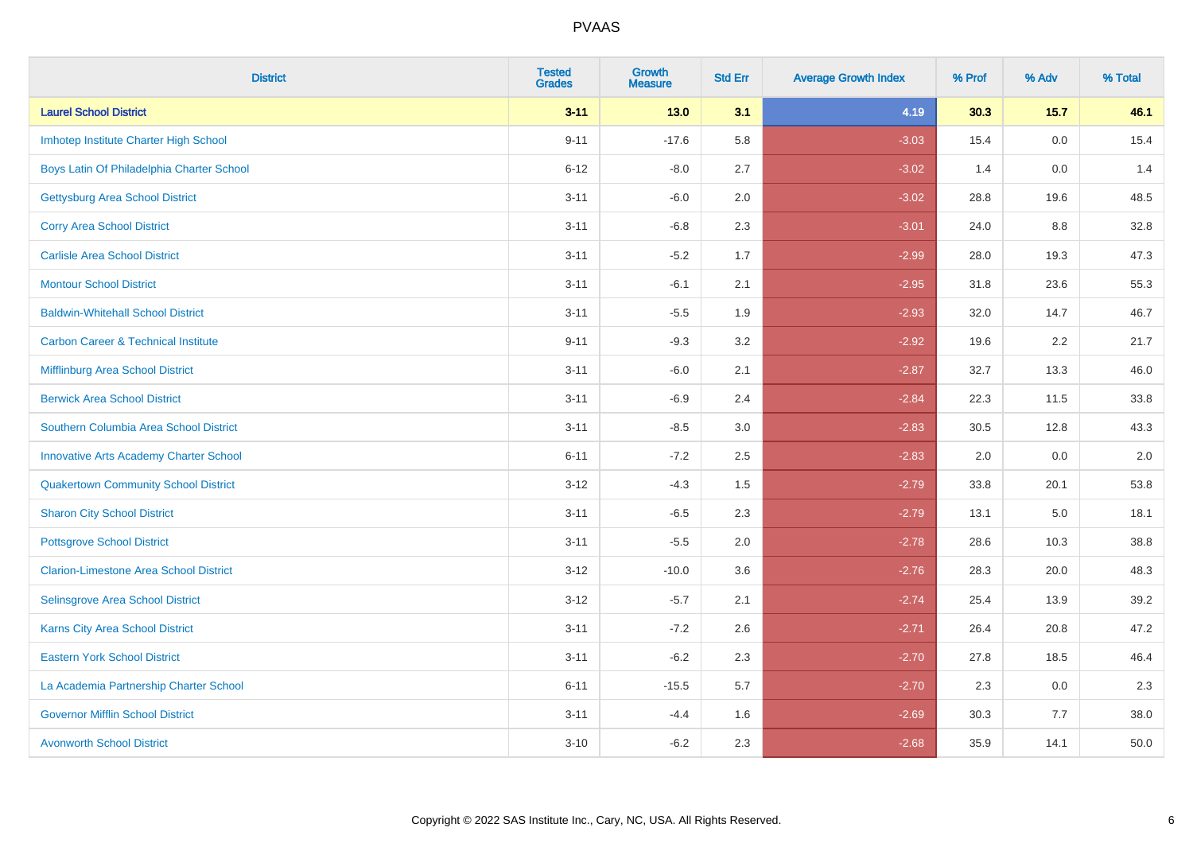| <b>District</b>                                | <b>Tested</b><br><b>Grades</b> | <b>Growth</b><br><b>Measure</b> | <b>Std Err</b> | <b>Average Growth Index</b> | % Prof | % Adv  | % Total |
|------------------------------------------------|--------------------------------|---------------------------------|----------------|-----------------------------|--------|--------|---------|
| <b>Laurel School District</b>                  | $3 - 11$                       | $13.0$                          | 3.1            | 4.19                        | 30.3   | $15.7$ | 46.1    |
| Imhotep Institute Charter High School          | $9 - 11$                       | $-17.6$                         | 5.8            | $-3.03$                     | 15.4   | 0.0    | 15.4    |
| Boys Latin Of Philadelphia Charter School      | $6 - 12$                       | $-8.0$                          | 2.7            | $-3.02$                     | 1.4    | 0.0    | 1.4     |
| <b>Gettysburg Area School District</b>         | $3 - 11$                       | $-6.0$                          | 2.0            | $-3.02$                     | 28.8   | 19.6   | 48.5    |
| <b>Corry Area School District</b>              | $3 - 11$                       | $-6.8$                          | 2.3            | $-3.01$                     | 24.0   | 8.8    | 32.8    |
| <b>Carlisle Area School District</b>           | $3 - 11$                       | $-5.2$                          | 1.7            | $-2.99$                     | 28.0   | 19.3   | 47.3    |
| <b>Montour School District</b>                 | $3 - 11$                       | $-6.1$                          | 2.1            | $-2.95$                     | 31.8   | 23.6   | 55.3    |
| <b>Baldwin-Whitehall School District</b>       | $3 - 11$                       | $-5.5$                          | 1.9            | $-2.93$                     | 32.0   | 14.7   | 46.7    |
| <b>Carbon Career &amp; Technical Institute</b> | $9 - 11$                       | $-9.3$                          | 3.2            | $-2.92$                     | 19.6   | 2.2    | 21.7    |
| Mifflinburg Area School District               | $3 - 11$                       | $-6.0$                          | 2.1            | $-2.87$                     | 32.7   | 13.3   | 46.0    |
| <b>Berwick Area School District</b>            | $3 - 11$                       | $-6.9$                          | 2.4            | $-2.84$                     | 22.3   | 11.5   | 33.8    |
| Southern Columbia Area School District         | $3 - 11$                       | $-8.5$                          | 3.0            | $-2.83$                     | 30.5   | 12.8   | 43.3    |
| <b>Innovative Arts Academy Charter School</b>  | $6 - 11$                       | $-7.2$                          | 2.5            | $-2.83$                     | 2.0    | 0.0    | $2.0\,$ |
| <b>Quakertown Community School District</b>    | $3 - 12$                       | $-4.3$                          | 1.5            | $-2.79$                     | 33.8   | 20.1   | 53.8    |
| <b>Sharon City School District</b>             | $3 - 11$                       | $-6.5$                          | 2.3            | $-2.79$                     | 13.1   | 5.0    | 18.1    |
| <b>Pottsgrove School District</b>              | $3 - 11$                       | $-5.5$                          | 2.0            | $-2.78$                     | 28.6   | 10.3   | 38.8    |
| <b>Clarion-Limestone Area School District</b>  | $3 - 12$                       | $-10.0$                         | 3.6            | $-2.76$                     | 28.3   | 20.0   | 48.3    |
| Selinsgrove Area School District               | $3 - 12$                       | $-5.7$                          | 2.1            | $-2.74$                     | 25.4   | 13.9   | 39.2    |
| <b>Karns City Area School District</b>         | $3 - 11$                       | $-7.2$                          | 2.6            | $-2.71$                     | 26.4   | 20.8   | 47.2    |
| <b>Eastern York School District</b>            | $3 - 11$                       | $-6.2$                          | 2.3            | $-2.70$                     | 27.8   | 18.5   | 46.4    |
| La Academia Partnership Charter School         | $6 - 11$                       | $-15.5$                         | 5.7            | $-2.70$                     | 2.3    | 0.0    | 2.3     |
| <b>Governor Mifflin School District</b>        | $3 - 11$                       | $-4.4$                          | 1.6            | $-2.69$                     | 30.3   | 7.7    | 38.0    |
| <b>Avonworth School District</b>               | $3 - 10$                       | $-6.2$                          | 2.3            | $-2.68$                     | 35.9   | 14.1   | 50.0    |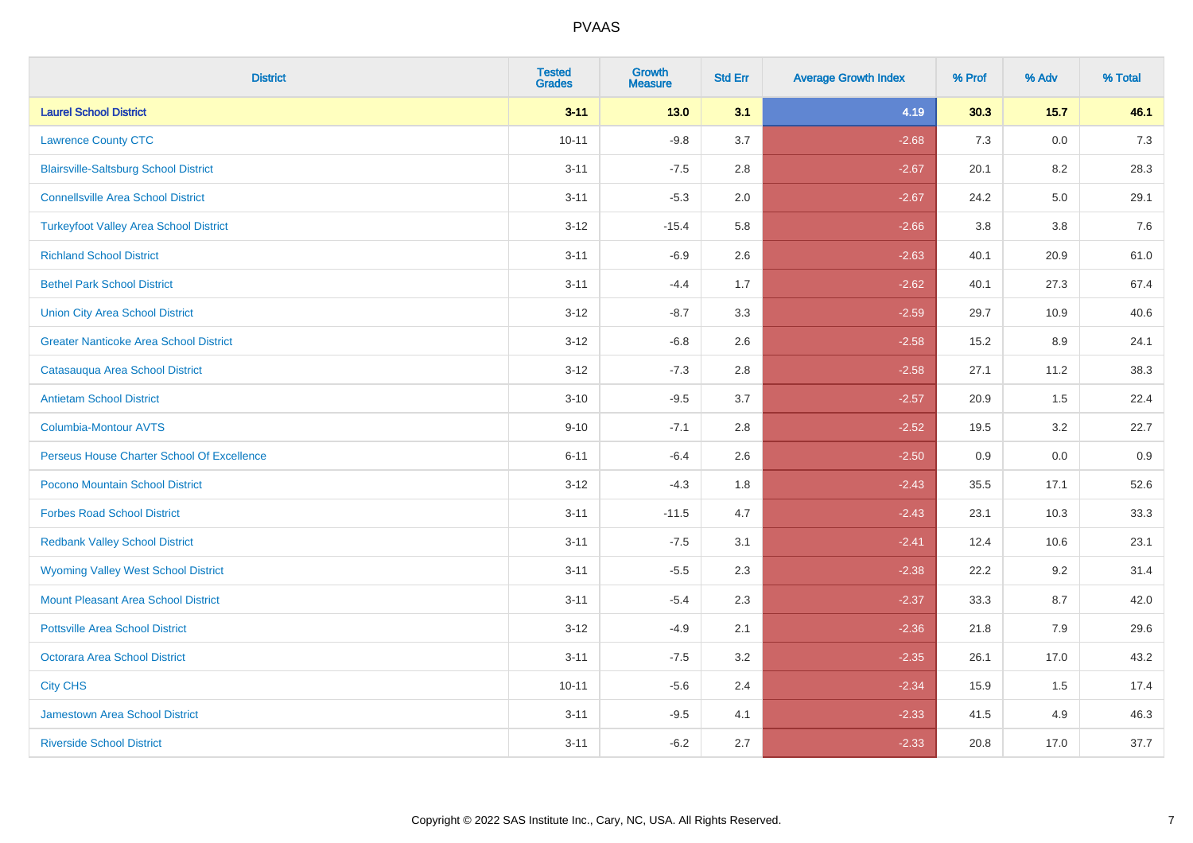| <b>District</b>                               | <b>Tested</b><br><b>Grades</b> | <b>Growth</b><br><b>Measure</b> | <b>Std Err</b> | <b>Average Growth Index</b> | % Prof | % Adv  | % Total |
|-----------------------------------------------|--------------------------------|---------------------------------|----------------|-----------------------------|--------|--------|---------|
| <b>Laurel School District</b>                 | $3 - 11$                       | $13.0$                          | 3.1            | 4.19                        | 30.3   | $15.7$ | 46.1    |
| <b>Lawrence County CTC</b>                    | $10 - 11$                      | $-9.8$                          | 3.7            | $-2.68$                     | 7.3    | 0.0    | $7.3$   |
| <b>Blairsville-Saltsburg School District</b>  | $3 - 11$                       | $-7.5$                          | 2.8            | $-2.67$                     | 20.1   | 8.2    | 28.3    |
| <b>Connellsville Area School District</b>     | $3 - 11$                       | $-5.3$                          | 2.0            | $-2.67$                     | 24.2   | 5.0    | 29.1    |
| <b>Turkeyfoot Valley Area School District</b> | $3 - 12$                       | $-15.4$                         | 5.8            | $-2.66$                     | 3.8    | 3.8    | 7.6     |
| <b>Richland School District</b>               | $3 - 11$                       | $-6.9$                          | 2.6            | $-2.63$                     | 40.1   | 20.9   | 61.0    |
| <b>Bethel Park School District</b>            | $3 - 11$                       | $-4.4$                          | 1.7            | $-2.62$                     | 40.1   | 27.3   | 67.4    |
| <b>Union City Area School District</b>        | $3 - 12$                       | $-8.7$                          | 3.3            | $-2.59$                     | 29.7   | 10.9   | 40.6    |
| <b>Greater Nanticoke Area School District</b> | $3 - 12$                       | $-6.8$                          | 2.6            | $-2.58$                     | 15.2   | 8.9    | 24.1    |
| Catasauqua Area School District               | $3 - 12$                       | $-7.3$                          | 2.8            | $-2.58$                     | 27.1   | 11.2   | 38.3    |
| <b>Antietam School District</b>               | $3 - 10$                       | $-9.5$                          | 3.7            | $-2.57$                     | 20.9   | 1.5    | 22.4    |
| Columbia-Montour AVTS                         | $9 - 10$                       | $-7.1$                          | 2.8            | $-2.52$                     | 19.5   | 3.2    | 22.7    |
| Perseus House Charter School Of Excellence    | $6 - 11$                       | $-6.4$                          | 2.6            | $-2.50$                     | 0.9    | 0.0    | 0.9     |
| Pocono Mountain School District               | $3 - 12$                       | $-4.3$                          | 1.8            | $-2.43$                     | 35.5   | 17.1   | 52.6    |
| <b>Forbes Road School District</b>            | $3 - 11$                       | $-11.5$                         | 4.7            | $-2.43$                     | 23.1   | 10.3   | 33.3    |
| <b>Redbank Valley School District</b>         | $3 - 11$                       | $-7.5$                          | 3.1            | $-2.41$                     | 12.4   | 10.6   | 23.1    |
| <b>Wyoming Valley West School District</b>    | $3 - 11$                       | $-5.5$                          | 2.3            | $-2.38$                     | 22.2   | 9.2    | 31.4    |
| <b>Mount Pleasant Area School District</b>    | $3 - 11$                       | $-5.4$                          | 2.3            | $-2.37$                     | 33.3   | 8.7    | 42.0    |
| <b>Pottsville Area School District</b>        | $3 - 12$                       | $-4.9$                          | 2.1            | $-2.36$                     | 21.8   | 7.9    | 29.6    |
| Octorara Area School District                 | $3 - 11$                       | $-7.5$                          | 3.2            | $-2.35$                     | 26.1   | 17.0   | 43.2    |
| <b>City CHS</b>                               | $10 - 11$                      | $-5.6$                          | 2.4            | $-2.34$                     | 15.9   | 1.5    | 17.4    |
| <b>Jamestown Area School District</b>         | $3 - 11$                       | $-9.5$                          | 4.1            | $-2.33$                     | 41.5   | 4.9    | 46.3    |
| <b>Riverside School District</b>              | $3 - 11$                       | $-6.2$                          | 2.7            | $-2.33$                     | 20.8   | 17.0   | 37.7    |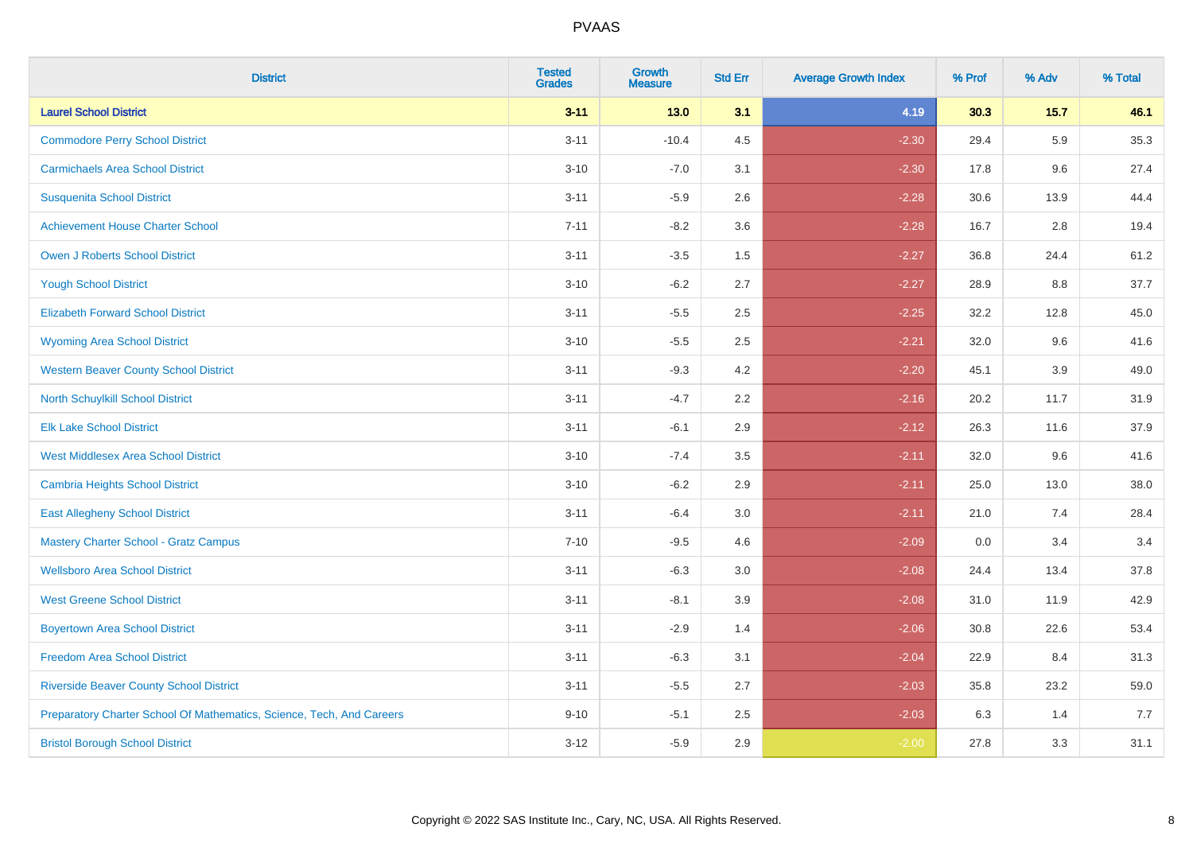| <b>District</b>                                                       | <b>Tested</b><br><b>Grades</b> | Growth<br><b>Measure</b> | <b>Std Err</b> | <b>Average Growth Index</b> | % Prof | % Adv   | % Total |
|-----------------------------------------------------------------------|--------------------------------|--------------------------|----------------|-----------------------------|--------|---------|---------|
| <b>Laurel School District</b>                                         | $3 - 11$                       | 13.0                     | 3.1            | 4.19                        | 30.3   | $15.7$  | 46.1    |
| <b>Commodore Perry School District</b>                                | $3 - 11$                       | $-10.4$                  | 4.5            | $-2.30$                     | 29.4   | 5.9     | 35.3    |
| <b>Carmichaels Area School District</b>                               | $3 - 10$                       | $-7.0$                   | 3.1            | $-2.30$                     | 17.8   | 9.6     | 27.4    |
| <b>Susquenita School District</b>                                     | $3 - 11$                       | $-5.9$                   | 2.6            | $-2.28$                     | 30.6   | 13.9    | 44.4    |
| <b>Achievement House Charter School</b>                               | $7 - 11$                       | $-8.2$                   | 3.6            | $-2.28$                     | 16.7   | 2.8     | 19.4    |
| <b>Owen J Roberts School District</b>                                 | $3 - 11$                       | $-3.5$                   | 1.5            | $-2.27$                     | 36.8   | 24.4    | 61.2    |
| <b>Yough School District</b>                                          | $3 - 10$                       | $-6.2$                   | 2.7            | $-2.27$                     | 28.9   | $8.8\,$ | 37.7    |
| <b>Elizabeth Forward School District</b>                              | $3 - 11$                       | $-5.5$                   | 2.5            | $-2.25$                     | 32.2   | 12.8    | 45.0    |
| <b>Wyoming Area School District</b>                                   | $3 - 10$                       | $-5.5$                   | 2.5            | $-2.21$                     | 32.0   | 9.6     | 41.6    |
| <b>Western Beaver County School District</b>                          | $3 - 11$                       | $-9.3$                   | 4.2            | $-2.20$                     | 45.1   | $3.9\,$ | 49.0    |
| <b>North Schuylkill School District</b>                               | $3 - 11$                       | $-4.7$                   | 2.2            | $-2.16$                     | 20.2   | 11.7    | 31.9    |
| <b>Elk Lake School District</b>                                       | $3 - 11$                       | $-6.1$                   | 2.9            | $-2.12$                     | 26.3   | 11.6    | 37.9    |
| <b>West Middlesex Area School District</b>                            | $3 - 10$                       | $-7.4$                   | 3.5            | $-2.11$                     | 32.0   | 9.6     | 41.6    |
| Cambria Heights School District                                       | $3 - 10$                       | $-6.2$                   | 2.9            | $-2.11$                     | 25.0   | 13.0    | 38.0    |
| <b>East Allegheny School District</b>                                 | $3 - 11$                       | $-6.4$                   | 3.0            | $-2.11$                     | 21.0   | 7.4     | 28.4    |
| <b>Mastery Charter School - Gratz Campus</b>                          | $7 - 10$                       | $-9.5$                   | 4.6            | $-2.09$                     | 0.0    | 3.4     | 3.4     |
| <b>Wellsboro Area School District</b>                                 | $3 - 11$                       | $-6.3$                   | 3.0            | $-2.08$                     | 24.4   | 13.4    | 37.8    |
| <b>West Greene School District</b>                                    | $3 - 11$                       | $-8.1$                   | 3.9            | $-2.08$                     | 31.0   | 11.9    | 42.9    |
| <b>Boyertown Area School District</b>                                 | $3 - 11$                       | $-2.9$                   | 1.4            | $-2.06$                     | 30.8   | 22.6    | 53.4    |
| <b>Freedom Area School District</b>                                   | $3 - 11$                       | $-6.3$                   | 3.1            | $-2.04$                     | 22.9   | 8.4     | 31.3    |
| <b>Riverside Beaver County School District</b>                        | $3 - 11$                       | $-5.5$                   | 2.7            | $-2.03$                     | 35.8   | 23.2    | 59.0    |
| Preparatory Charter School Of Mathematics, Science, Tech, And Careers | $9 - 10$                       | $-5.1$                   | 2.5            | $-2.03$                     | 6.3    | 1.4     | 7.7     |
| <b>Bristol Borough School District</b>                                | $3 - 12$                       | $-5.9$                   | 2.9            | $-2.00$                     | 27.8   | 3.3     | 31.1    |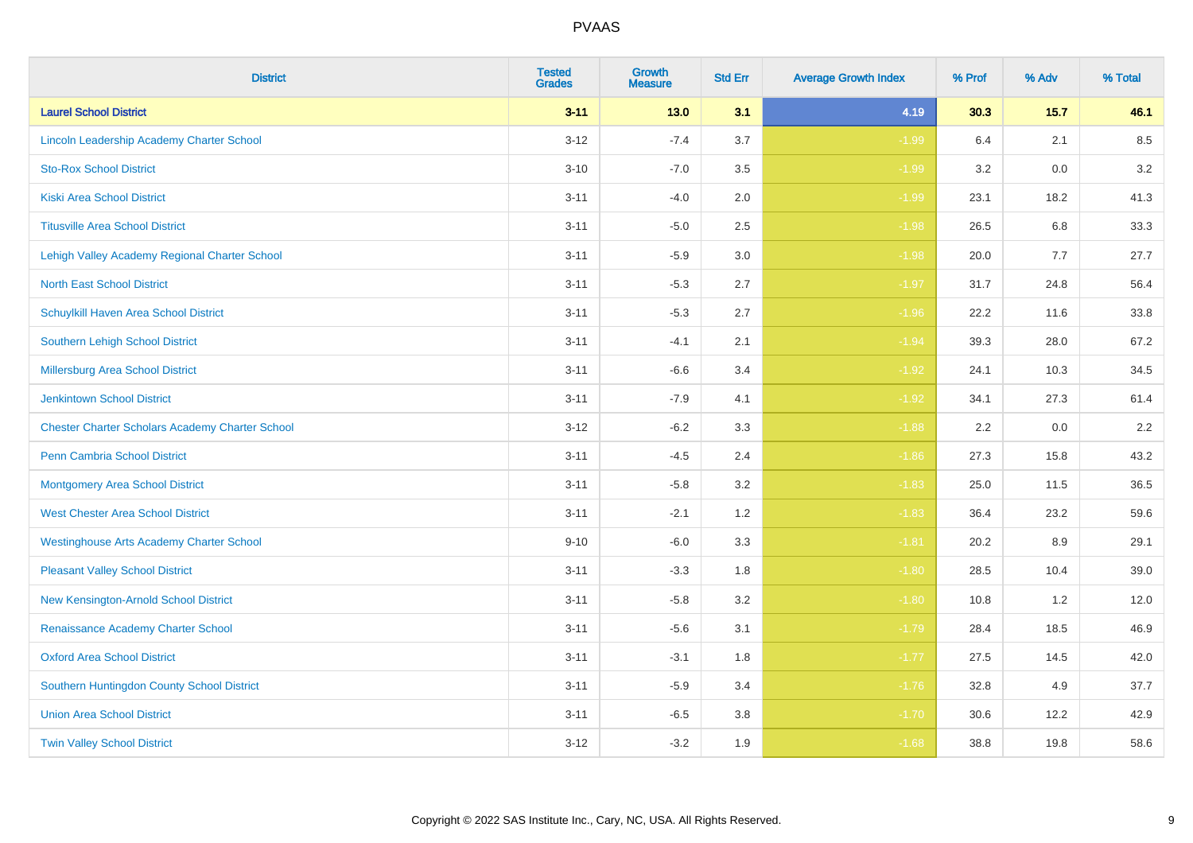| <b>District</b>                                        | <b>Tested</b><br><b>Grades</b> | <b>Growth</b><br><b>Measure</b> | <b>Std Err</b> | <b>Average Growth Index</b> | % Prof | % Adv  | % Total |
|--------------------------------------------------------|--------------------------------|---------------------------------|----------------|-----------------------------|--------|--------|---------|
| <b>Laurel School District</b>                          | $3 - 11$                       | 13.0                            | 3.1            | 4.19                        | 30.3   | $15.7$ | 46.1    |
| Lincoln Leadership Academy Charter School              | $3 - 12$                       | $-7.4$                          | 3.7            | $-1.99$                     | 6.4    | 2.1    | 8.5     |
| <b>Sto-Rox School District</b>                         | $3 - 10$                       | $-7.0$                          | 3.5            | $-1.99$                     | 3.2    | 0.0    | 3.2     |
| <b>Kiski Area School District</b>                      | $3 - 11$                       | $-4.0$                          | 2.0            | $-1.99$                     | 23.1   | 18.2   | 41.3    |
| <b>Titusville Area School District</b>                 | $3 - 11$                       | $-5.0$                          | 2.5            | $-1.98$                     | 26.5   | 6.8    | 33.3    |
| Lehigh Valley Academy Regional Charter School          | $3 - 11$                       | $-5.9$                          | 3.0            | $-1.98$                     | 20.0   | 7.7    | 27.7    |
| <b>North East School District</b>                      | $3 - 11$                       | $-5.3$                          | 2.7            | $-1.97$                     | 31.7   | 24.8   | 56.4    |
| Schuylkill Haven Area School District                  | $3 - 11$                       | $-5.3$                          | 2.7            | $-1.96$                     | 22.2   | 11.6   | 33.8    |
| <b>Southern Lehigh School District</b>                 | $3 - 11$                       | $-4.1$                          | 2.1            | $-1.94$                     | 39.3   | 28.0   | 67.2    |
| Millersburg Area School District                       | $3 - 11$                       | $-6.6$                          | 3.4            | $-1.92$                     | 24.1   | 10.3   | 34.5    |
| <b>Jenkintown School District</b>                      | $3 - 11$                       | $-7.9$                          | 4.1            | $-1.92$                     | 34.1   | 27.3   | 61.4    |
| <b>Chester Charter Scholars Academy Charter School</b> | $3 - 12$                       | $-6.2$                          | 3.3            | $-1.88$                     | 2.2    | 0.0    | 2.2     |
| Penn Cambria School District                           | $3 - 11$                       | $-4.5$                          | 2.4            | $-1.86$                     | 27.3   | 15.8   | 43.2    |
| <b>Montgomery Area School District</b>                 | $3 - 11$                       | $-5.8$                          | 3.2            | $-1.83$                     | 25.0   | 11.5   | 36.5    |
| <b>West Chester Area School District</b>               | $3 - 11$                       | $-2.1$                          | 1.2            | $-1.83$                     | 36.4   | 23.2   | 59.6    |
| <b>Westinghouse Arts Academy Charter School</b>        | $9 - 10$                       | $-6.0$                          | 3.3            | $-1.81$                     | 20.2   | 8.9    | 29.1    |
| <b>Pleasant Valley School District</b>                 | $3 - 11$                       | $-3.3$                          | 1.8            | $-1.80$                     | 28.5   | 10.4   | 39.0    |
| New Kensington-Arnold School District                  | $3 - 11$                       | $-5.8$                          | 3.2            | $-1.80$                     | 10.8   | 1.2    | 12.0    |
| Renaissance Academy Charter School                     | $3 - 11$                       | $-5.6$                          | 3.1            | $-1.79$                     | 28.4   | 18.5   | 46.9    |
| <b>Oxford Area School District</b>                     | $3 - 11$                       | $-3.1$                          | 1.8            | $-1.77$                     | 27.5   | 14.5   | 42.0    |
| Southern Huntingdon County School District             | $3 - 11$                       | $-5.9$                          | 3.4            | $-1.76$                     | 32.8   | 4.9    | 37.7    |
| <b>Union Area School District</b>                      | $3 - 11$                       | $-6.5$                          | 3.8            | $-1.70$                     | 30.6   | 12.2   | 42.9    |
| <b>Twin Valley School District</b>                     | $3-12$                         | $-3.2$                          | 1.9            | $-1.68$                     | 38.8   | 19.8   | 58.6    |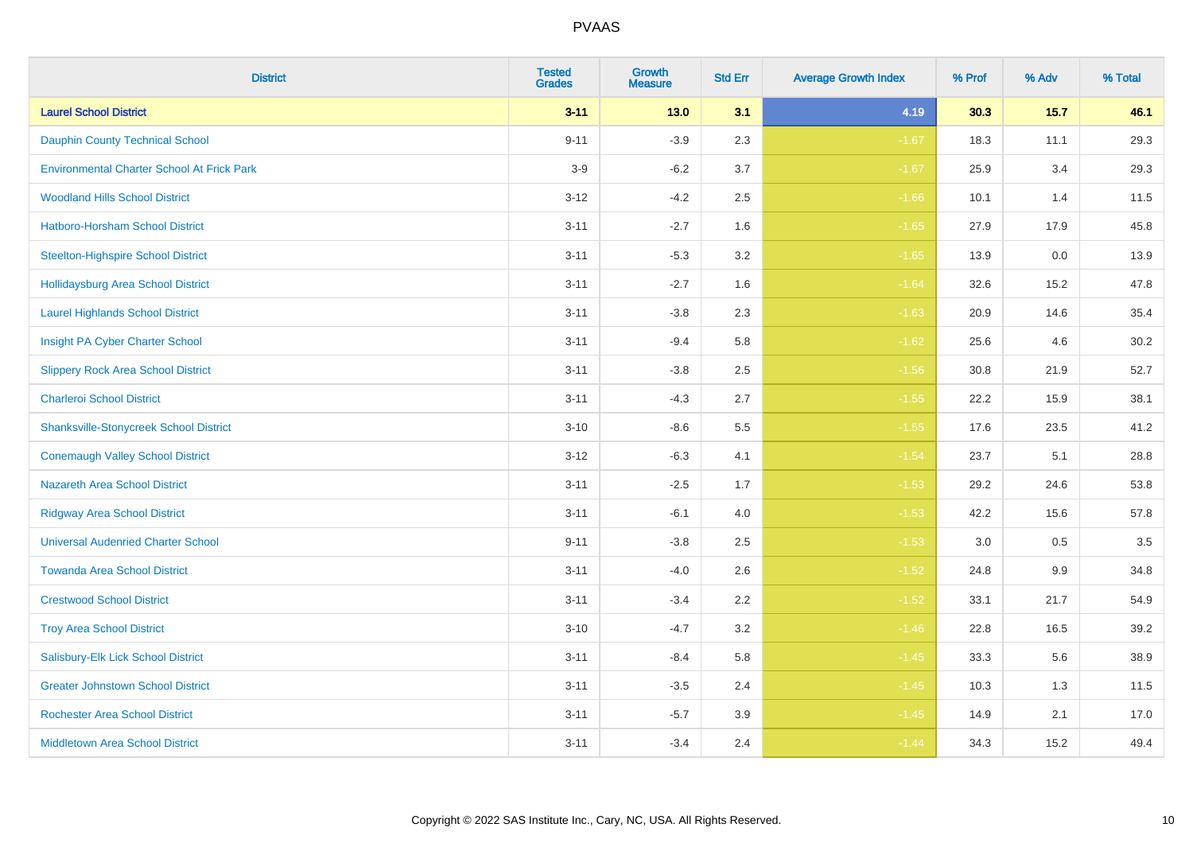| <b>District</b>                                   | <b>Tested</b><br><b>Grades</b> | <b>Growth</b><br><b>Measure</b> | <b>Std Err</b> | <b>Average Growth Index</b> | % Prof | % Adv  | % Total |
|---------------------------------------------------|--------------------------------|---------------------------------|----------------|-----------------------------|--------|--------|---------|
| <b>Laurel School District</b>                     | $3 - 11$                       | $13.0$                          | 3.1            | 4.19                        | 30.3   | $15.7$ | 46.1    |
| <b>Dauphin County Technical School</b>            | $9 - 11$                       | $-3.9$                          | 2.3            | $-1.67$                     | 18.3   | 11.1   | 29.3    |
| <b>Environmental Charter School At Frick Park</b> | $3-9$                          | $-6.2$                          | 3.7            | $-1.67$                     | 25.9   | 3.4    | 29.3    |
| <b>Woodland Hills School District</b>             | $3 - 12$                       | $-4.2$                          | 2.5            | $-1.66$                     | 10.1   | 1.4    | 11.5    |
| Hatboro-Horsham School District                   | $3 - 11$                       | $-2.7$                          | 1.6            | $-1.65$                     | 27.9   | 17.9   | 45.8    |
| <b>Steelton-Highspire School District</b>         | $3 - 11$                       | $-5.3$                          | 3.2            | $-1.65$                     | 13.9   | 0.0    | 13.9    |
| <b>Hollidaysburg Area School District</b>         | $3 - 11$                       | $-2.7$                          | 1.6            | $-1.64$                     | 32.6   | 15.2   | 47.8    |
| <b>Laurel Highlands School District</b>           | $3 - 11$                       | $-3.8$                          | 2.3            | $-1.63$                     | 20.9   | 14.6   | 35.4    |
| Insight PA Cyber Charter School                   | $3 - 11$                       | $-9.4$                          | 5.8            | $-1.62$                     | 25.6   | 4.6    | 30.2    |
| <b>Slippery Rock Area School District</b>         | $3 - 11$                       | $-3.8$                          | 2.5            | $-1.56$                     | 30.8   | 21.9   | 52.7    |
| <b>Charleroi School District</b>                  | $3 - 11$                       | $-4.3$                          | 2.7            | $-1.55$                     | 22.2   | 15.9   | 38.1    |
| <b>Shanksville-Stonycreek School District</b>     | $3 - 10$                       | $-8.6$                          | 5.5            | $-1.55$                     | 17.6   | 23.5   | 41.2    |
| <b>Conemaugh Valley School District</b>           | $3 - 12$                       | $-6.3$                          | 4.1            | $-1.54$                     | 23.7   | 5.1    | 28.8    |
| <b>Nazareth Area School District</b>              | $3 - 11$                       | $-2.5$                          | 1.7            | $-1.53$                     | 29.2   | 24.6   | 53.8    |
| <b>Ridgway Area School District</b>               | $3 - 11$                       | $-6.1$                          | 4.0            | $-1.53$                     | 42.2   | 15.6   | 57.8    |
| <b>Universal Audenried Charter School</b>         | $9 - 11$                       | $-3.8$                          | 2.5            | $-1.53$                     | 3.0    | 0.5    | 3.5     |
| <b>Towanda Area School District</b>               | $3 - 11$                       | $-4.0$                          | 2.6            | $-1.52$                     | 24.8   | 9.9    | 34.8    |
| <b>Crestwood School District</b>                  | $3 - 11$                       | $-3.4$                          | 2.2            | $-1.52$                     | 33.1   | 21.7   | 54.9    |
| <b>Troy Area School District</b>                  | $3 - 10$                       | $-4.7$                          | 3.2            | $-1.46$                     | 22.8   | 16.5   | 39.2    |
| Salisbury-Elk Lick School District                | $3 - 11$                       | $-8.4$                          | 5.8            | $-1.45$                     | 33.3   | 5.6    | 38.9    |
| <b>Greater Johnstown School District</b>          | $3 - 11$                       | $-3.5$                          | 2.4            | $-1.45$                     | 10.3   | 1.3    | 11.5    |
| <b>Rochester Area School District</b>             | $3 - 11$                       | $-5.7$                          | 3.9            | $-1.45$                     | 14.9   | 2.1    | 17.0    |
| <b>Middletown Area School District</b>            | $3 - 11$                       | $-3.4$                          | 2.4            | $-1.44$                     | 34.3   | 15.2   | 49.4    |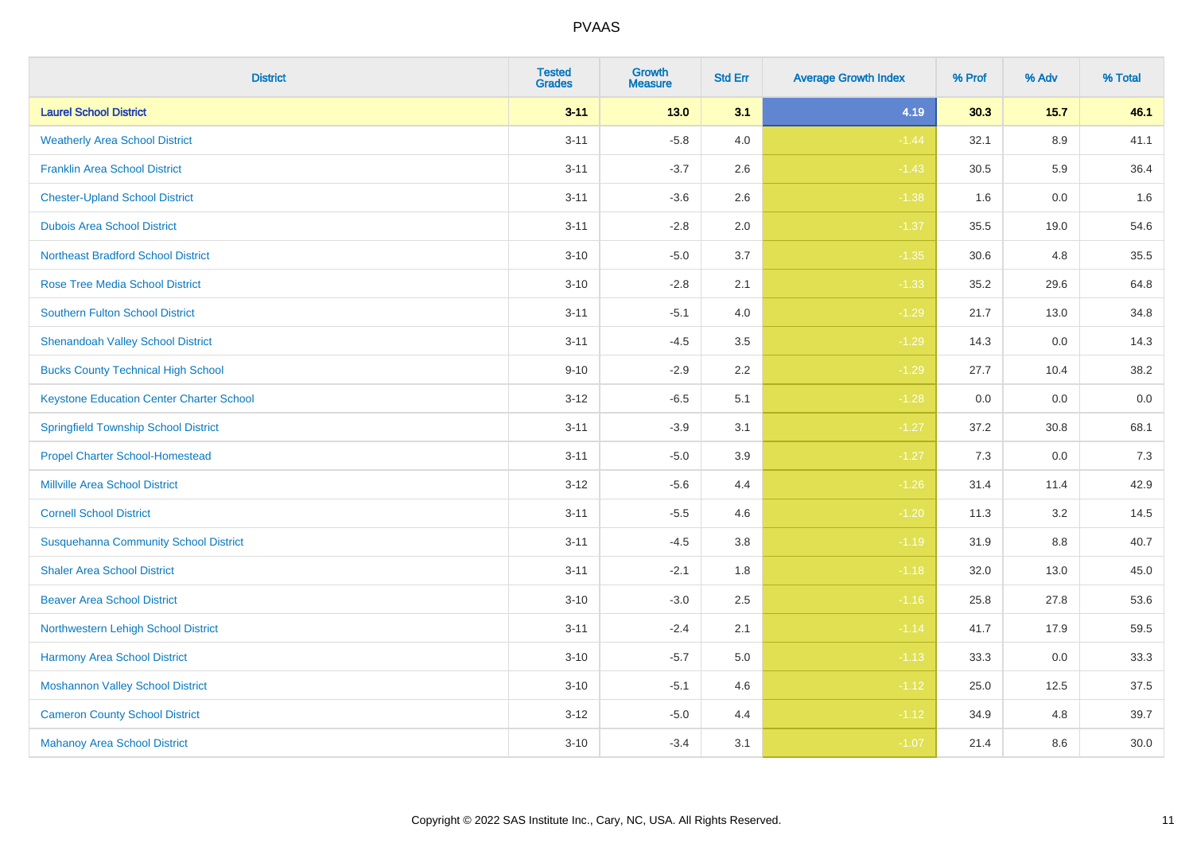| <b>District</b>                                 | <b>Tested</b><br><b>Grades</b> | Growth<br><b>Measure</b> | <b>Std Err</b> | <b>Average Growth Index</b> | % Prof | % Adv  | % Total |
|-------------------------------------------------|--------------------------------|--------------------------|----------------|-----------------------------|--------|--------|---------|
| <b>Laurel School District</b>                   | $3 - 11$                       | $13.0$                   | 3.1            | 4.19                        | 30.3   | $15.7$ | 46.1    |
| <b>Weatherly Area School District</b>           | $3 - 11$                       | $-5.8$                   | 4.0            | $-1.44$                     | 32.1   | 8.9    | 41.1    |
| <b>Franklin Area School District</b>            | $3 - 11$                       | $-3.7$                   | 2.6            | $-1.43$                     | 30.5   | 5.9    | 36.4    |
| <b>Chester-Upland School District</b>           | $3 - 11$                       | $-3.6$                   | 2.6            | $-1.38$                     | 1.6    | 0.0    | 1.6     |
| <b>Dubois Area School District</b>              | $3 - 11$                       | $-2.8$                   | 2.0            | $-1.37$                     | 35.5   | 19.0   | 54.6    |
| <b>Northeast Bradford School District</b>       | $3 - 10$                       | $-5.0$                   | 3.7            | $-1.35$                     | 30.6   | 4.8    | 35.5    |
| <b>Rose Tree Media School District</b>          | $3 - 10$                       | $-2.8$                   | 2.1            | $-1.33$                     | 35.2   | 29.6   | 64.8    |
| <b>Southern Fulton School District</b>          | $3 - 11$                       | $-5.1$                   | 4.0            | $-1.29$                     | 21.7   | 13.0   | 34.8    |
| <b>Shenandoah Valley School District</b>        | $3 - 11$                       | $-4.5$                   | 3.5            | $-1.29$                     | 14.3   | 0.0    | 14.3    |
| <b>Bucks County Technical High School</b>       | $9 - 10$                       | $-2.9$                   | 2.2            | $-1.29$                     | 27.7   | 10.4   | 38.2    |
| <b>Keystone Education Center Charter School</b> | $3 - 12$                       | $-6.5$                   | 5.1            | $-1.28$                     | 0.0    | 0.0    | $0.0\,$ |
| <b>Springfield Township School District</b>     | $3 - 11$                       | $-3.9$                   | 3.1            | $-1.27$                     | 37.2   | 30.8   | 68.1    |
| <b>Propel Charter School-Homestead</b>          | $3 - 11$                       | $-5.0$                   | 3.9            | $-1.27$                     | 7.3    | 0.0    | 7.3     |
| <b>Millville Area School District</b>           | $3 - 12$                       | $-5.6$                   | 4.4            | $-1.26$                     | 31.4   | 11.4   | 42.9    |
| <b>Cornell School District</b>                  | $3 - 11$                       | $-5.5$                   | 4.6            | $-1.20$                     | 11.3   | 3.2    | 14.5    |
| <b>Susquehanna Community School District</b>    | $3 - 11$                       | $-4.5$                   | 3.8            | $-1.19$                     | 31.9   | 8.8    | 40.7    |
| <b>Shaler Area School District</b>              | $3 - 11$                       | $-2.1$                   | 1.8            | $-1.18$                     | 32.0   | 13.0   | 45.0    |
| <b>Beaver Area School District</b>              | $3 - 10$                       | $-3.0$                   | 2.5            | $-1.16$                     | 25.8   | 27.8   | 53.6    |
| Northwestern Lehigh School District             | $3 - 11$                       | $-2.4$                   | 2.1            | $-1.14$                     | 41.7   | 17.9   | 59.5    |
| Harmony Area School District                    | $3 - 10$                       | $-5.7$                   | 5.0            | $-1.13$                     | 33.3   | 0.0    | 33.3    |
| <b>Moshannon Valley School District</b>         | $3 - 10$                       | $-5.1$                   | 4.6            | $-1.12$                     | 25.0   | 12.5   | 37.5    |
| <b>Cameron County School District</b>           | $3 - 12$                       | $-5.0$                   | 4.4            | $-1.12$                     | 34.9   | 4.8    | 39.7    |
| <b>Mahanoy Area School District</b>             | $3 - 10$                       | $-3.4$                   | 3.1            | $-1.07$                     | 21.4   | 8.6    | 30.0    |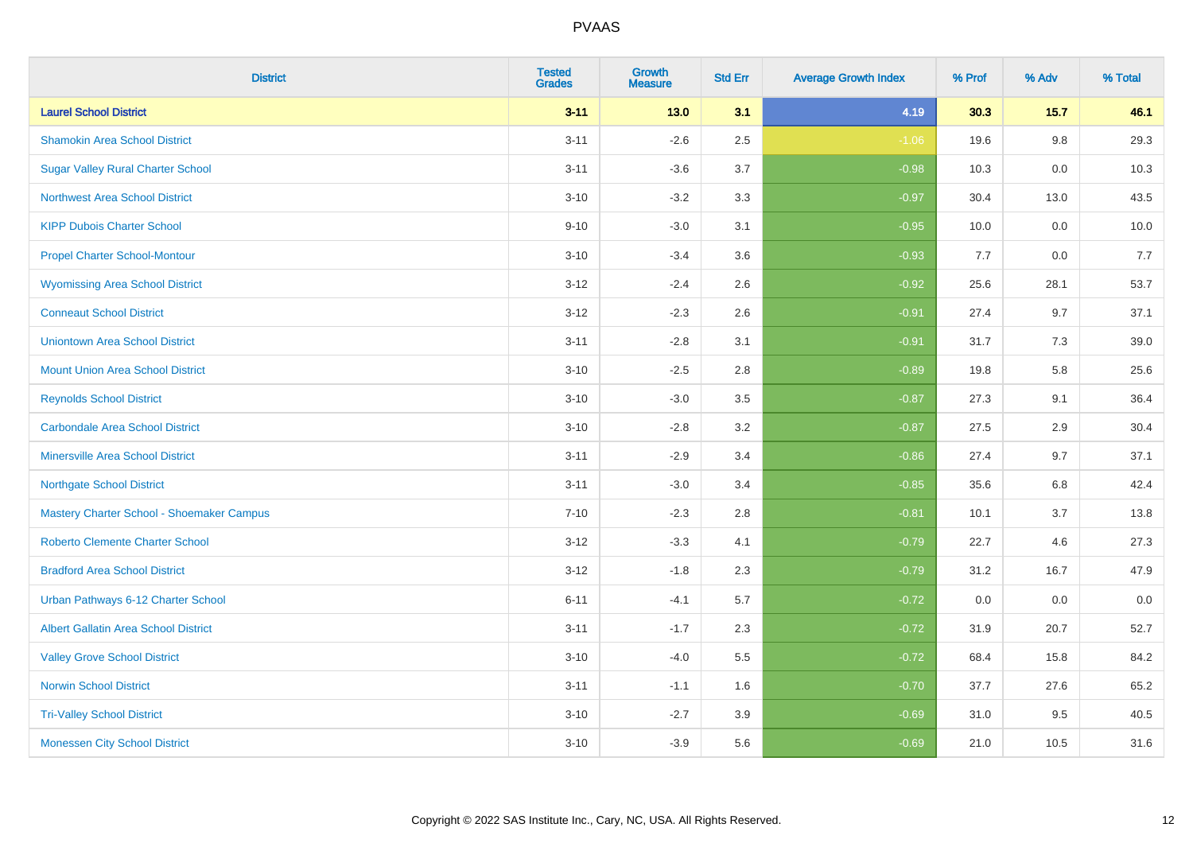| <b>District</b>                             | <b>Tested</b><br><b>Grades</b> | <b>Growth</b><br><b>Measure</b> | <b>Std Err</b> | <b>Average Growth Index</b> | % Prof | % Adv  | % Total |
|---------------------------------------------|--------------------------------|---------------------------------|----------------|-----------------------------|--------|--------|---------|
| <b>Laurel School District</b>               | $3 - 11$                       | $13.0$                          | 3.1            | 4.19                        | 30.3   | $15.7$ | 46.1    |
| <b>Shamokin Area School District</b>        | $3 - 11$                       | $-2.6$                          | 2.5            | $-1.06$                     | 19.6   | 9.8    | 29.3    |
| <b>Sugar Valley Rural Charter School</b>    | $3 - 11$                       | $-3.6$                          | 3.7            | $-0.98$                     | 10.3   | 0.0    | 10.3    |
| <b>Northwest Area School District</b>       | $3 - 10$                       | $-3.2$                          | 3.3            | $-0.97$                     | 30.4   | 13.0   | 43.5    |
| <b>KIPP Dubois Charter School</b>           | $9 - 10$                       | $-3.0$                          | 3.1            | $-0.95$                     | 10.0   | 0.0    | 10.0    |
| <b>Propel Charter School-Montour</b>        | $3 - 10$                       | $-3.4$                          | 3.6            | $-0.93$                     | 7.7    | 0.0    | 7.7     |
| <b>Wyomissing Area School District</b>      | $3 - 12$                       | $-2.4$                          | 2.6            | $-0.92$                     | 25.6   | 28.1   | 53.7    |
| <b>Conneaut School District</b>             | $3 - 12$                       | $-2.3$                          | 2.6            | $-0.91$                     | 27.4   | 9.7    | 37.1    |
| <b>Uniontown Area School District</b>       | $3 - 11$                       | $-2.8$                          | 3.1            | $-0.91$                     | 31.7   | 7.3    | 39.0    |
| <b>Mount Union Area School District</b>     | $3 - 10$                       | $-2.5$                          | $2.8\,$        | $-0.89$                     | 19.8   | 5.8    | 25.6    |
| <b>Reynolds School District</b>             | $3 - 10$                       | $-3.0$                          | 3.5            | $-0.87$                     | 27.3   | 9.1    | 36.4    |
| <b>Carbondale Area School District</b>      | $3 - 10$                       | $-2.8$                          | 3.2            | $-0.87$                     | 27.5   | 2.9    | 30.4    |
| <b>Minersville Area School District</b>     | $3 - 11$                       | $-2.9$                          | 3.4            | $-0.86$                     | 27.4   | 9.7    | 37.1    |
| <b>Northgate School District</b>            | $3 - 11$                       | $-3.0$                          | 3.4            | $-0.85$                     | 35.6   | 6.8    | 42.4    |
| Mastery Charter School - Shoemaker Campus   | $7 - 10$                       | $-2.3$                          | 2.8            | $-0.81$                     | 10.1   | 3.7    | 13.8    |
| Roberto Clemente Charter School             | $3 - 12$                       | $-3.3$                          | 4.1            | $-0.79$                     | 22.7   | 4.6    | 27.3    |
| <b>Bradford Area School District</b>        | $3 - 12$                       | $-1.8$                          | 2.3            | $-0.79$                     | 31.2   | 16.7   | 47.9    |
| Urban Pathways 6-12 Charter School          | $6 - 11$                       | $-4.1$                          | 5.7            | $-0.72$                     | 0.0    | 0.0    | $0.0\,$ |
| <b>Albert Gallatin Area School District</b> | $3 - 11$                       | $-1.7$                          | 2.3            | $-0.72$                     | 31.9   | 20.7   | 52.7    |
| <b>Valley Grove School District</b>         | $3 - 10$                       | $-4.0$                          | 5.5            | $-0.72$                     | 68.4   | 15.8   | 84.2    |
| <b>Norwin School District</b>               | $3 - 11$                       | $-1.1$                          | 1.6            | $-0.70$                     | 37.7   | 27.6   | 65.2    |
| <b>Tri-Valley School District</b>           | $3 - 10$                       | $-2.7$                          | 3.9            | $-0.69$                     | 31.0   | 9.5    | 40.5    |
| <b>Monessen City School District</b>        | $3 - 10$                       | $-3.9$                          | 5.6            | $-0.69$                     | 21.0   | 10.5   | 31.6    |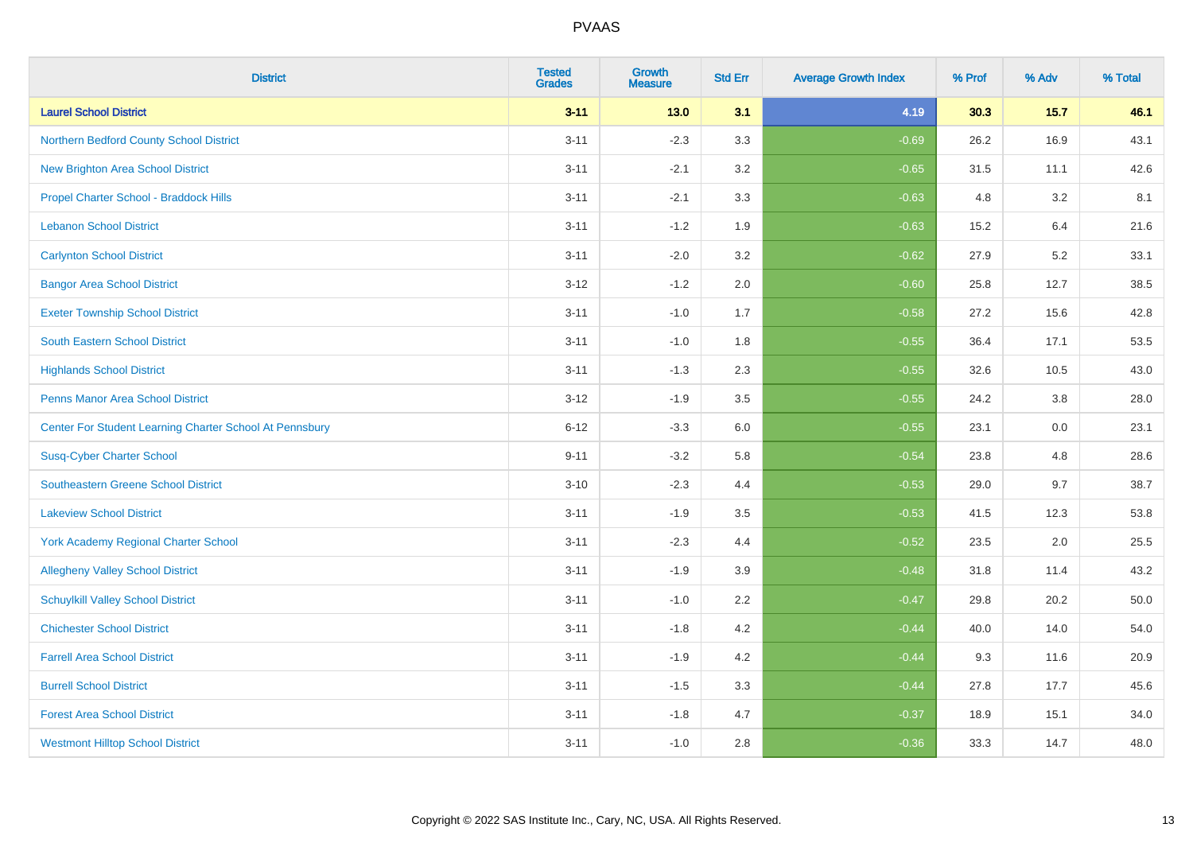| <b>District</b>                                         | <b>Tested</b><br><b>Grades</b> | <b>Growth</b><br><b>Measure</b> | <b>Std Err</b> | <b>Average Growth Index</b> | % Prof | % Adv  | % Total |
|---------------------------------------------------------|--------------------------------|---------------------------------|----------------|-----------------------------|--------|--------|---------|
| <b>Laurel School District</b>                           | $3 - 11$                       | $13.0$                          | 3.1            | 4.19                        | 30.3   | $15.7$ | 46.1    |
| Northern Bedford County School District                 | $3 - 11$                       | $-2.3$                          | 3.3            | $-0.69$                     | 26.2   | 16.9   | 43.1    |
| <b>New Brighton Area School District</b>                | $3 - 11$                       | $-2.1$                          | 3.2            | $-0.65$                     | 31.5   | 11.1   | 42.6    |
| Propel Charter School - Braddock Hills                  | $3 - 11$                       | $-2.1$                          | 3.3            | $-0.63$                     | 4.8    | 3.2    | 8.1     |
| <b>Lebanon School District</b>                          | $3 - 11$                       | $-1.2$                          | 1.9            | $-0.63$                     | 15.2   | 6.4    | 21.6    |
| <b>Carlynton School District</b>                        | $3 - 11$                       | $-2.0$                          | 3.2            | $-0.62$                     | 27.9   | 5.2    | 33.1    |
| <b>Bangor Area School District</b>                      | $3 - 12$                       | $-1.2$                          | 2.0            | $-0.60$                     | 25.8   | 12.7   | 38.5    |
| <b>Exeter Township School District</b>                  | $3 - 11$                       | $-1.0$                          | 1.7            | $-0.58$                     | 27.2   | 15.6   | 42.8    |
| <b>South Eastern School District</b>                    | $3 - 11$                       | $-1.0$                          | 1.8            | $-0.55$                     | 36.4   | 17.1   | 53.5    |
| <b>Highlands School District</b>                        | $3 - 11$                       | $-1.3$                          | 2.3            | $-0.55$                     | 32.6   | 10.5   | 43.0    |
| <b>Penns Manor Area School District</b>                 | $3 - 12$                       | $-1.9$                          | 3.5            | $-0.55$                     | 24.2   | 3.8    | 28.0    |
| Center For Student Learning Charter School At Pennsbury | $6 - 12$                       | $-3.3$                          | 6.0            | $-0.55$                     | 23.1   | 0.0    | 23.1    |
| <b>Susq-Cyber Charter School</b>                        | $9 - 11$                       | $-3.2$                          | 5.8            | $-0.54$                     | 23.8   | 4.8    | 28.6    |
| <b>Southeastern Greene School District</b>              | $3 - 10$                       | $-2.3$                          | 4.4            | $-0.53$                     | 29.0   | 9.7    | 38.7    |
| <b>Lakeview School District</b>                         | $3 - 11$                       | $-1.9$                          | 3.5            | $-0.53$                     | 41.5   | 12.3   | 53.8    |
| <b>York Academy Regional Charter School</b>             | $3 - 11$                       | $-2.3$                          | 4.4            | $-0.52$                     | 23.5   | 2.0    | 25.5    |
| <b>Allegheny Valley School District</b>                 | $3 - 11$                       | $-1.9$                          | 3.9            | $-0.48$                     | 31.8   | 11.4   | 43.2    |
| <b>Schuylkill Valley School District</b>                | $3 - 11$                       | $-1.0$                          | 2.2            | $-0.47$                     | 29.8   | 20.2   | 50.0    |
| <b>Chichester School District</b>                       | $3 - 11$                       | $-1.8$                          | 4.2            | $-0.44$                     | 40.0   | 14.0   | 54.0    |
| <b>Farrell Area School District</b>                     | $3 - 11$                       | $-1.9$                          | 4.2            | $-0.44$                     | 9.3    | 11.6   | 20.9    |
| <b>Burrell School District</b>                          | $3 - 11$                       | $-1.5$                          | 3.3            | $-0.44$                     | 27.8   | 17.7   | 45.6    |
| <b>Forest Area School District</b>                      | $3 - 11$                       | $-1.8$                          | 4.7            | $-0.37$                     | 18.9   | 15.1   | 34.0    |
| <b>Westmont Hilltop School District</b>                 | $3 - 11$                       | $-1.0$                          | 2.8            | $-0.36$                     | 33.3   | 14.7   | 48.0    |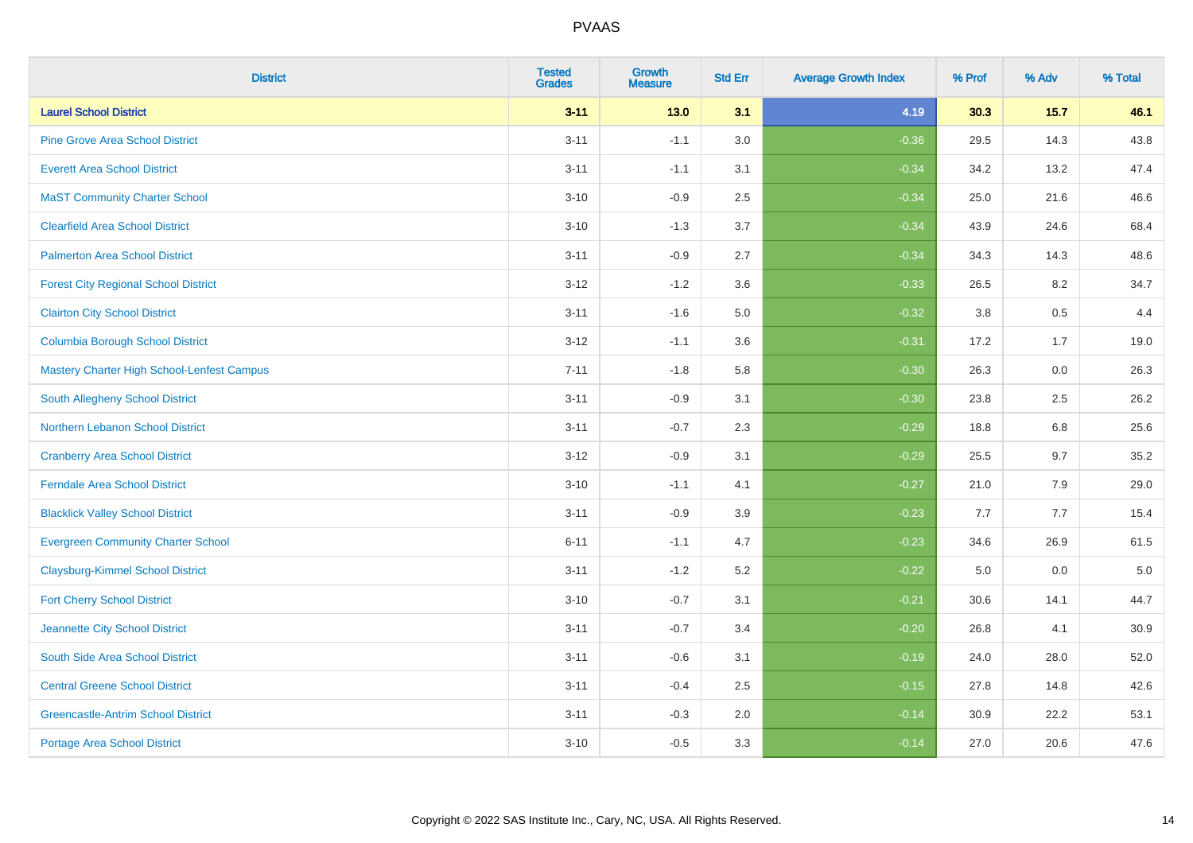| <b>District</b>                                   | <b>Tested</b><br><b>Grades</b> | <b>Growth</b><br><b>Measure</b> | <b>Std Err</b> | <b>Average Growth Index</b> | % Prof | % Adv  | % Total |
|---------------------------------------------------|--------------------------------|---------------------------------|----------------|-----------------------------|--------|--------|---------|
| <b>Laurel School District</b>                     | $3 - 11$                       | $13.0$                          | 3.1            | 4.19                        | 30.3   | $15.7$ | 46.1    |
| <b>Pine Grove Area School District</b>            | $3 - 11$                       | $-1.1$                          | 3.0            | $-0.36$                     | 29.5   | 14.3   | 43.8    |
| <b>Everett Area School District</b>               | $3 - 11$                       | $-1.1$                          | 3.1            | $-0.34$                     | 34.2   | 13.2   | 47.4    |
| <b>MaST Community Charter School</b>              | $3 - 10$                       | $-0.9$                          | 2.5            | $-0.34$                     | 25.0   | 21.6   | 46.6    |
| <b>Clearfield Area School District</b>            | $3 - 10$                       | $-1.3$                          | 3.7            | $-0.34$                     | 43.9   | 24.6   | 68.4    |
| <b>Palmerton Area School District</b>             | $3 - 11$                       | $-0.9$                          | 2.7            | $-0.34$                     | 34.3   | 14.3   | 48.6    |
| <b>Forest City Regional School District</b>       | $3 - 12$                       | $-1.2$                          | 3.6            | $-0.33$                     | 26.5   | 8.2    | 34.7    |
| <b>Clairton City School District</b>              | $3 - 11$                       | $-1.6$                          | $5.0\,$        | $-0.32$                     | 3.8    | 0.5    | 4.4     |
| <b>Columbia Borough School District</b>           | $3 - 12$                       | $-1.1$                          | 3.6            | $-0.31$                     | 17.2   | 1.7    | 19.0    |
| <b>Mastery Charter High School-Lenfest Campus</b> | $7 - 11$                       | $-1.8$                          | 5.8            | $-0.30$                     | 26.3   | 0.0    | 26.3    |
| <b>South Allegheny School District</b>            | $3 - 11$                       | $-0.9$                          | 3.1            | $-0.30$                     | 23.8   | 2.5    | 26.2    |
| Northern Lebanon School District                  | $3 - 11$                       | $-0.7$                          | 2.3            | $-0.29$                     | 18.8   | 6.8    | 25.6    |
| <b>Cranberry Area School District</b>             | $3 - 12$                       | $-0.9$                          | 3.1            | $-0.29$                     | 25.5   | 9.7    | 35.2    |
| <b>Ferndale Area School District</b>              | $3 - 10$                       | $-1.1$                          | 4.1            | $-0.27$                     | 21.0   | 7.9    | 29.0    |
| <b>Blacklick Valley School District</b>           | $3 - 11$                       | $-0.9$                          | 3.9            | $-0.23$                     | 7.7    | 7.7    | 15.4    |
| <b>Evergreen Community Charter School</b>         | $6 - 11$                       | $-1.1$                          | 4.7            | $-0.23$                     | 34.6   | 26.9   | 61.5    |
| <b>Claysburg-Kimmel School District</b>           | $3 - 11$                       | $-1.2$                          | 5.2            | $-0.22$                     | 5.0    | 0.0    | $5.0$   |
| <b>Fort Cherry School District</b>                | $3 - 10$                       | $-0.7$                          | 3.1            | $-0.21$                     | 30.6   | 14.1   | 44.7    |
| Jeannette City School District                    | $3 - 11$                       | $-0.7$                          | 3.4            | $-0.20$                     | 26.8   | 4.1    | 30.9    |
| South Side Area School District                   | $3 - 11$                       | $-0.6$                          | 3.1            | $-0.19$                     | 24.0   | 28.0   | 52.0    |
| <b>Central Greene School District</b>             | $3 - 11$                       | $-0.4$                          | 2.5            | $-0.15$                     | 27.8   | 14.8   | 42.6    |
| <b>Greencastle-Antrim School District</b>         | $3 - 11$                       | $-0.3$                          | 2.0            | $-0.14$                     | 30.9   | 22.2   | 53.1    |
| <b>Portage Area School District</b>               | $3 - 10$                       | $-0.5$                          | 3.3            | $-0.14$                     | 27.0   | 20.6   | 47.6    |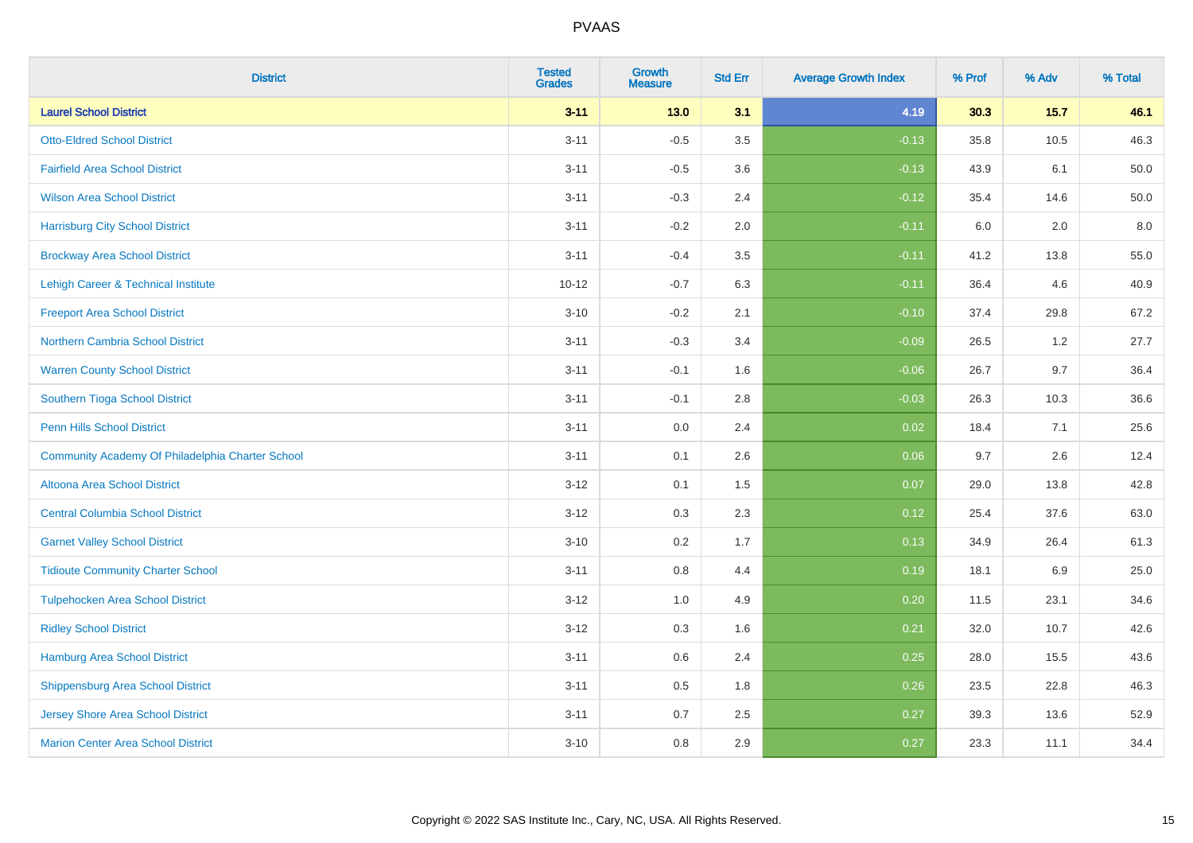| <b>District</b>                                  | <b>Tested</b><br><b>Grades</b> | <b>Growth</b><br><b>Measure</b> | <b>Std Err</b> | <b>Average Growth Index</b> | % Prof | % Adv   | % Total |
|--------------------------------------------------|--------------------------------|---------------------------------|----------------|-----------------------------|--------|---------|---------|
| <b>Laurel School District</b>                    | $3 - 11$                       | $13.0$                          | 3.1            | 4.19                        | 30.3   | 15.7    | 46.1    |
| <b>Otto-Eldred School District</b>               | $3 - 11$                       | $-0.5$                          | 3.5            | $-0.13$                     | 35.8   | 10.5    | 46.3    |
| <b>Fairfield Area School District</b>            | $3 - 11$                       | $-0.5$                          | 3.6            | $-0.13$                     | 43.9   | 6.1     | 50.0    |
| <b>Wilson Area School District</b>               | $3 - 11$                       | $-0.3$                          | 2.4            | $-0.12$                     | 35.4   | 14.6    | 50.0    |
| <b>Harrisburg City School District</b>           | $3 - 11$                       | $-0.2$                          | 2.0            | $-0.11$                     | 6.0    | 2.0     | 8.0     |
| <b>Brockway Area School District</b>             | $3 - 11$                       | $-0.4$                          | 3.5            | $-0.11$                     | 41.2   | 13.8    | 55.0    |
| Lehigh Career & Technical Institute              | $10 - 12$                      | $-0.7$                          | 6.3            | $-0.11$                     | 36.4   | 4.6     | 40.9    |
| <b>Freeport Area School District</b>             | $3 - 10$                       | $-0.2$                          | 2.1            | $-0.10$                     | 37.4   | 29.8    | 67.2    |
| <b>Northern Cambria School District</b>          | $3 - 11$                       | $-0.3$                          | 3.4            | $-0.09$                     | 26.5   | 1.2     | 27.7    |
| <b>Warren County School District</b>             | $3 - 11$                       | $-0.1$                          | 1.6            | $-0.06$                     | 26.7   | 9.7     | 36.4    |
| Southern Tioga School District                   | $3 - 11$                       | $-0.1$                          | 2.8            | $-0.03$                     | 26.3   | 10.3    | 36.6    |
| <b>Penn Hills School District</b>                | $3 - 11$                       | 0.0                             | 2.4            | 0.02                        | 18.4   | 7.1     | 25.6    |
| Community Academy Of Philadelphia Charter School | $3 - 11$                       | 0.1                             | 2.6            | 0.06                        | 9.7    | $2.6\,$ | 12.4    |
| Altoona Area School District                     | $3 - 12$                       | 0.1                             | 1.5            | 0.07                        | 29.0   | 13.8    | 42.8    |
| <b>Central Columbia School District</b>          | $3 - 12$                       | 0.3                             | 2.3            | 0.12                        | 25.4   | 37.6    | 63.0    |
| <b>Garnet Valley School District</b>             | $3 - 10$                       | 0.2                             | 1.7            | 0.13                        | 34.9   | 26.4    | 61.3    |
| <b>Tidioute Community Charter School</b>         | $3 - 11$                       | 0.8                             | 4.4            | 0.19                        | 18.1   | 6.9     | 25.0    |
| <b>Tulpehocken Area School District</b>          | $3 - 12$                       | 1.0                             | 4.9            | 0.20                        | 11.5   | 23.1    | 34.6    |
| <b>Ridley School District</b>                    | $3 - 12$                       | 0.3                             | 1.6            | 0.21                        | 32.0   | 10.7    | 42.6    |
| Hamburg Area School District                     | $3 - 11$                       | 0.6                             | 2.4            | 0.25                        | 28.0   | 15.5    | 43.6    |
| <b>Shippensburg Area School District</b>         | $3 - 11$                       | 0.5                             | 1.8            | 0.26                        | 23.5   | 22.8    | 46.3    |
| <b>Jersey Shore Area School District</b>         | $3 - 11$                       | 0.7                             | 2.5            | 0.27                        | 39.3   | 13.6    | 52.9    |
| <b>Marion Center Area School District</b>        | $3 - 10$                       | 0.8                             | 2.9            | 0.27                        | 23.3   | 11.1    | 34.4    |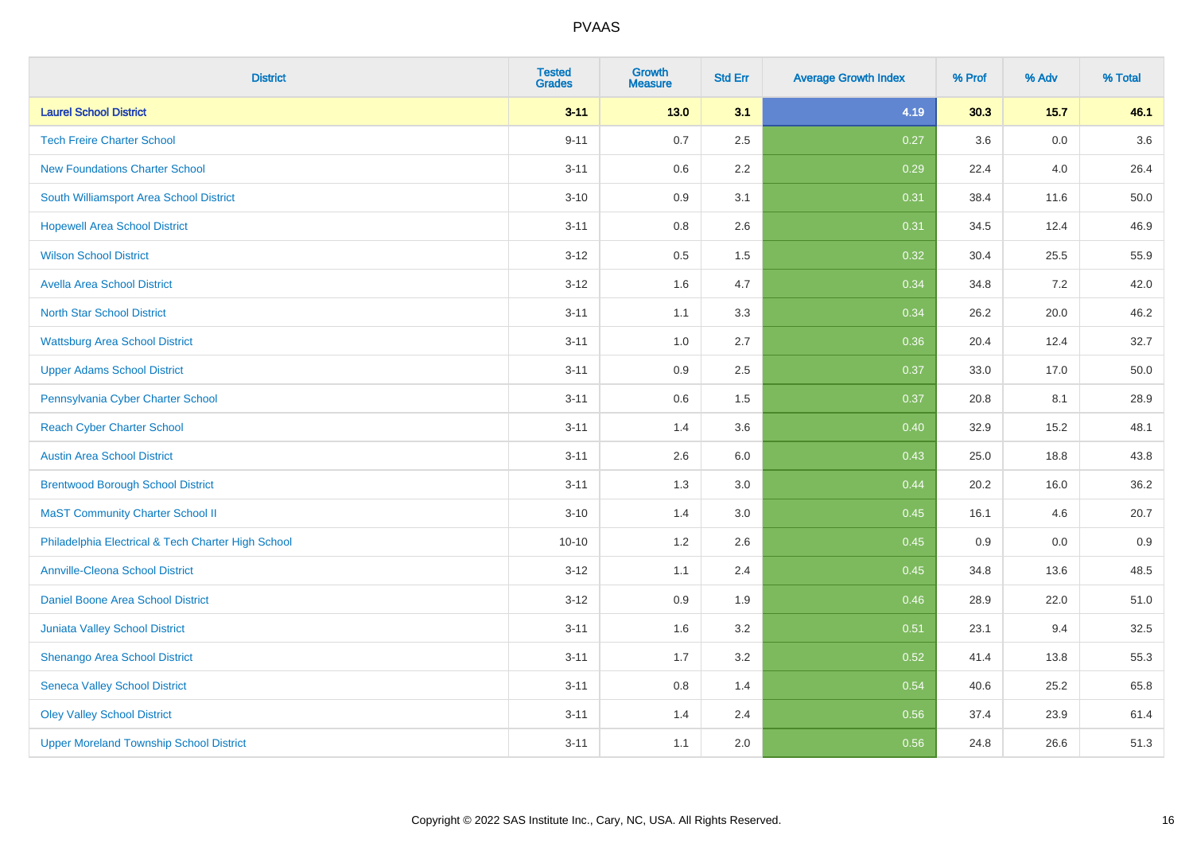| <b>District</b>                                    | <b>Tested</b><br><b>Grades</b> | <b>Growth</b><br><b>Measure</b> | <b>Std Err</b> | <b>Average Growth Index</b> | % Prof | % Adv  | % Total |
|----------------------------------------------------|--------------------------------|---------------------------------|----------------|-----------------------------|--------|--------|---------|
| <b>Laurel School District</b>                      | $3 - 11$                       | $13.0$                          | 3.1            | 4.19                        | 30.3   | $15.7$ | 46.1    |
| <b>Tech Freire Charter School</b>                  | $9 - 11$                       | 0.7                             | 2.5            | 0.27                        | 3.6    | 0.0    | 3.6     |
| <b>New Foundations Charter School</b>              | $3 - 11$                       | 0.6                             | 2.2            | 0.29                        | 22.4   | 4.0    | 26.4    |
| South Williamsport Area School District            | $3 - 10$                       | $0.9\,$                         | 3.1            | 0.31                        | 38.4   | 11.6   | 50.0    |
| <b>Hopewell Area School District</b>               | $3 - 11$                       | 0.8                             | 2.6            | 0.31                        | 34.5   | 12.4   | 46.9    |
| <b>Wilson School District</b>                      | $3 - 12$                       | $0.5\,$                         | 1.5            | 0.32                        | 30.4   | 25.5   | 55.9    |
| <b>Avella Area School District</b>                 | $3 - 12$                       | 1.6                             | 4.7            | 0.34                        | 34.8   | 7.2    | 42.0    |
| <b>North Star School District</b>                  | $3 - 11$                       | 1.1                             | 3.3            | 0.34                        | 26.2   | 20.0   | 46.2    |
| <b>Wattsburg Area School District</b>              | $3 - 11$                       | 1.0                             | 2.7            | 0.36                        | 20.4   | 12.4   | 32.7    |
| <b>Upper Adams School District</b>                 | $3 - 11$                       | $0.9\,$                         | 2.5            | 0.37                        | 33.0   | 17.0   | 50.0    |
| Pennsylvania Cyber Charter School                  | $3 - 11$                       | 0.6                             | 1.5            | 0.37                        | 20.8   | 8.1    | 28.9    |
| <b>Reach Cyber Charter School</b>                  | $3 - 11$                       | 1.4                             | 3.6            | 0.40                        | 32.9   | 15.2   | 48.1    |
| <b>Austin Area School District</b>                 | $3 - 11$                       | 2.6                             | 6.0            | 0.43                        | 25.0   | 18.8   | 43.8    |
| <b>Brentwood Borough School District</b>           | $3 - 11$                       | 1.3                             | 3.0            | 0.44                        | 20.2   | 16.0   | 36.2    |
| <b>MaST Community Charter School II</b>            | $3 - 10$                       | 1.4                             | 3.0            | 0.45                        | 16.1   | 4.6    | 20.7    |
| Philadelphia Electrical & Tech Charter High School | $10 - 10$                      | 1.2                             | 2.6            | 0.45                        | 0.9    | 0.0    | 0.9     |
| <b>Annville-Cleona School District</b>             | $3 - 12$                       | 1.1                             | 2.4            | 0.45                        | 34.8   | 13.6   | 48.5    |
| Daniel Boone Area School District                  | $3 - 12$                       | 0.9                             | 1.9            | 0.46                        | 28.9   | 22.0   | 51.0    |
| <b>Juniata Valley School District</b>              | $3 - 11$                       | 1.6                             | 3.2            | 0.51                        | 23.1   | 9.4    | 32.5    |
| Shenango Area School District                      | $3 - 11$                       | 1.7                             | 3.2            | 0.52                        | 41.4   | 13.8   | 55.3    |
| <b>Seneca Valley School District</b>               | $3 - 11$                       | $0.8\,$                         | 1.4            | 0.54                        | 40.6   | 25.2   | 65.8    |
| <b>Oley Valley School District</b>                 | $3 - 11$                       | 1.4                             | 2.4            | 0.56                        | 37.4   | 23.9   | 61.4    |
| <b>Upper Moreland Township School District</b>     | $3 - 11$                       | 1.1                             | 2.0            | 0.56                        | 24.8   | 26.6   | 51.3    |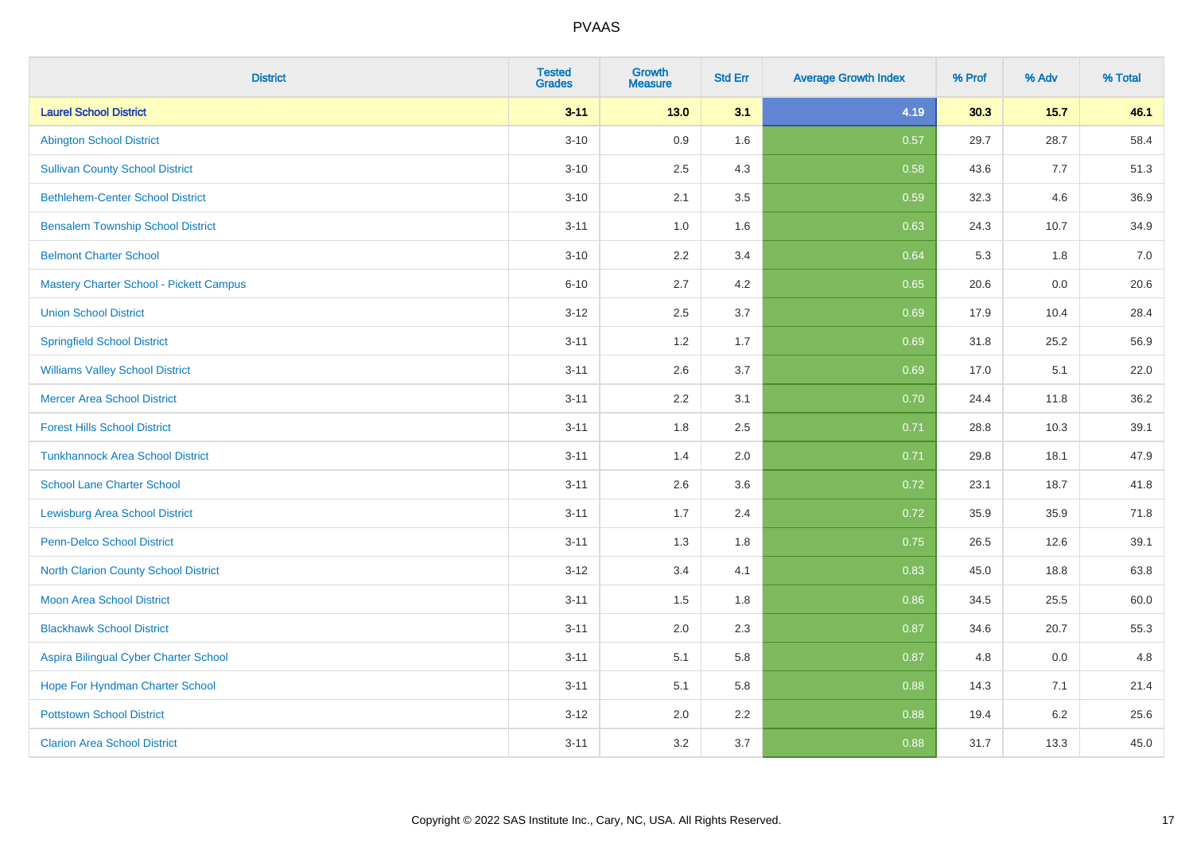| <b>District</b>                             | <b>Tested</b><br><b>Grades</b> | <b>Growth</b><br><b>Measure</b> | <b>Std Err</b> | <b>Average Growth Index</b> | % Prof | % Adv   | % Total |
|---------------------------------------------|--------------------------------|---------------------------------|----------------|-----------------------------|--------|---------|---------|
| <b>Laurel School District</b>               | $3 - 11$                       | $13.0$                          | 3.1            | 4.19                        | 30.3   | $15.7$  | 46.1    |
| <b>Abington School District</b>             | $3 - 10$                       | 0.9                             | 1.6            | 0.57                        | 29.7   | 28.7    | 58.4    |
| <b>Sullivan County School District</b>      | $3 - 10$                       | 2.5                             | 4.3            | 0.58                        | 43.6   | 7.7     | 51.3    |
| <b>Bethlehem-Center School District</b>     | $3 - 10$                       | 2.1                             | 3.5            | 0.59                        | 32.3   | 4.6     | 36.9    |
| <b>Bensalem Township School District</b>    | $3 - 11$                       | 1.0                             | 1.6            | 0.63                        | 24.3   | 10.7    | 34.9    |
| <b>Belmont Charter School</b>               | $3 - 10$                       | 2.2                             | 3.4            | 0.64                        | 5.3    | 1.8     | 7.0     |
| Mastery Charter School - Pickett Campus     | $6 - 10$                       | 2.7                             | 4.2            | 0.65                        | 20.6   | 0.0     | 20.6    |
| <b>Union School District</b>                | $3 - 12$                       | 2.5                             | 3.7            | 0.69                        | 17.9   | 10.4    | 28.4    |
| <b>Springfield School District</b>          | $3 - 11$                       | 1.2                             | 1.7            | 0.69                        | 31.8   | 25.2    | 56.9    |
| <b>Williams Valley School District</b>      | $3 - 11$                       | 2.6                             | 3.7            | 0.69                        | 17.0   | 5.1     | 22.0    |
| <b>Mercer Area School District</b>          | $3 - 11$                       | 2.2                             | 3.1            | 0.70                        | 24.4   | 11.8    | 36.2    |
| <b>Forest Hills School District</b>         | $3 - 11$                       | 1.8                             | 2.5            | 0.71                        | 28.8   | 10.3    | 39.1    |
| <b>Tunkhannock Area School District</b>     | $3 - 11$                       | 1.4                             | 2.0            | 0.71                        | 29.8   | 18.1    | 47.9    |
| <b>School Lane Charter School</b>           | $3 - 11$                       | 2.6                             | 3.6            | 0.72                        | 23.1   | 18.7    | 41.8    |
| <b>Lewisburg Area School District</b>       | $3 - 11$                       | 1.7                             | 2.4            | 0.72                        | 35.9   | 35.9    | 71.8    |
| Penn-Delco School District                  | $3 - 11$                       | 1.3                             | 1.8            | 0.75                        | 26.5   | 12.6    | 39.1    |
| <b>North Clarion County School District</b> | $3 - 12$                       | 3.4                             | 4.1            | 0.83                        | 45.0   | 18.8    | 63.8    |
| <b>Moon Area School District</b>            | $3 - 11$                       | 1.5                             | 1.8            | 0.86                        | 34.5   | 25.5    | 60.0    |
| <b>Blackhawk School District</b>            | $3 - 11$                       | 2.0                             | 2.3            | 0.87                        | 34.6   | 20.7    | 55.3    |
| Aspira Bilingual Cyber Charter School       | $3 - 11$                       | 5.1                             | 5.8            | 0.87                        | 4.8    | 0.0     | 4.8     |
| Hope For Hyndman Charter School             | $3 - 11$                       | 5.1                             | 5.8            | 0.88                        | 14.3   | 7.1     | 21.4    |
| <b>Pottstown School District</b>            | $3 - 12$                       | 2.0                             | 2.2            | 0.88                        | 19.4   | $6.2\,$ | 25.6    |
| <b>Clarion Area School District</b>         | $3 - 11$                       | 3.2                             | 3.7            | 0.88                        | 31.7   | 13.3    | 45.0    |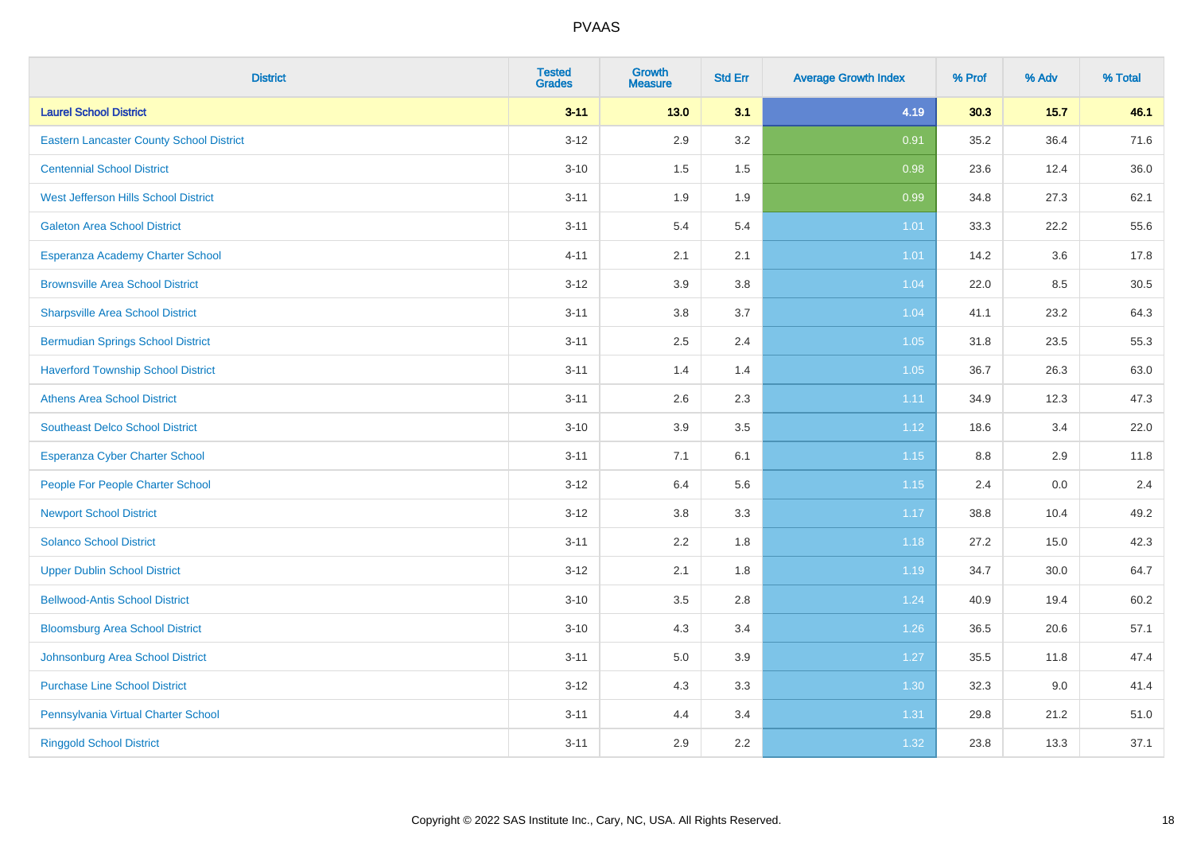| <b>District</b>                                 | <b>Tested</b><br><b>Grades</b> | <b>Growth</b><br><b>Measure</b> | <b>Std Err</b> | <b>Average Growth Index</b> | % Prof  | % Adv  | % Total |
|-------------------------------------------------|--------------------------------|---------------------------------|----------------|-----------------------------|---------|--------|---------|
| <b>Laurel School District</b>                   | $3 - 11$                       | 13.0                            | 3.1            | 4.19                        | 30.3    | $15.7$ | 46.1    |
| <b>Eastern Lancaster County School District</b> | $3-12$                         | 2.9                             | 3.2            | 0.91                        | 35.2    | 36.4   | 71.6    |
| <b>Centennial School District</b>               | $3 - 10$                       | 1.5                             | 1.5            | 0.98                        | 23.6    | 12.4   | 36.0    |
| West Jefferson Hills School District            | $3 - 11$                       | 1.9                             | 1.9            | 0.99                        | 34.8    | 27.3   | 62.1    |
| <b>Galeton Area School District</b>             | $3 - 11$                       | 5.4                             | 5.4            | 1.01                        | 33.3    | 22.2   | 55.6    |
| Esperanza Academy Charter School                | $4 - 11$                       | 2.1                             | 2.1            | $1.01$                      | 14.2    | 3.6    | 17.8    |
| <b>Brownsville Area School District</b>         | $3 - 12$                       | 3.9                             | 3.8            | 1.04                        | 22.0    | 8.5    | 30.5    |
| <b>Sharpsville Area School District</b>         | $3 - 11$                       | $3.8\,$                         | 3.7            | 1.04                        | 41.1    | 23.2   | 64.3    |
| <b>Bermudian Springs School District</b>        | $3 - 11$                       | 2.5                             | 2.4            | 1.05                        | 31.8    | 23.5   | 55.3    |
| <b>Haverford Township School District</b>       | $3 - 11$                       | 1.4                             | 1.4            | 1.05                        | 36.7    | 26.3   | 63.0    |
| <b>Athens Area School District</b>              | $3 - 11$                       | 2.6                             | 2.3            | 1.11                        | 34.9    | 12.3   | 47.3    |
| <b>Southeast Delco School District</b>          | $3 - 10$                       | 3.9                             | 3.5            | 1.12                        | 18.6    | 3.4    | 22.0    |
| <b>Esperanza Cyber Charter School</b>           | $3 - 11$                       | 7.1                             | 6.1            | 1.15                        | $8.8\,$ | 2.9    | 11.8    |
| People For People Charter School                | $3 - 12$                       | 6.4                             | 5.6            | 1.15                        | 2.4     | 0.0    | 2.4     |
| <b>Newport School District</b>                  | $3 - 12$                       | $3.8\,$                         | 3.3            | 1.17                        | 38.8    | 10.4   | 49.2    |
| <b>Solanco School District</b>                  | $3 - 11$                       | 2.2                             | 1.8            | 1.18                        | 27.2    | 15.0   | 42.3    |
| <b>Upper Dublin School District</b>             | $3 - 12$                       | 2.1                             | 1.8            | $1.19$                      | 34.7    | 30.0   | 64.7    |
| <b>Bellwood-Antis School District</b>           | $3 - 10$                       | 3.5                             | 2.8            | 1.24                        | 40.9    | 19.4   | 60.2    |
| <b>Bloomsburg Area School District</b>          | $3 - 10$                       | 4.3                             | 3.4            | $1.26$                      | 36.5    | 20.6   | 57.1    |
| Johnsonburg Area School District                | $3 - 11$                       | $5.0\,$                         | 3.9            | 1.27                        | 35.5    | 11.8   | 47.4    |
| <b>Purchase Line School District</b>            | $3 - 12$                       | 4.3                             | 3.3            | 1.30                        | 32.3    | 9.0    | 41.4    |
| Pennsylvania Virtual Charter School             | $3 - 11$                       | 4.4                             | 3.4            | 1.31                        | 29.8    | 21.2   | 51.0    |
| <b>Ringgold School District</b>                 | $3 - 11$                       | 2.9                             | 2.2            | 1.32                        | 23.8    | 13.3   | 37.1    |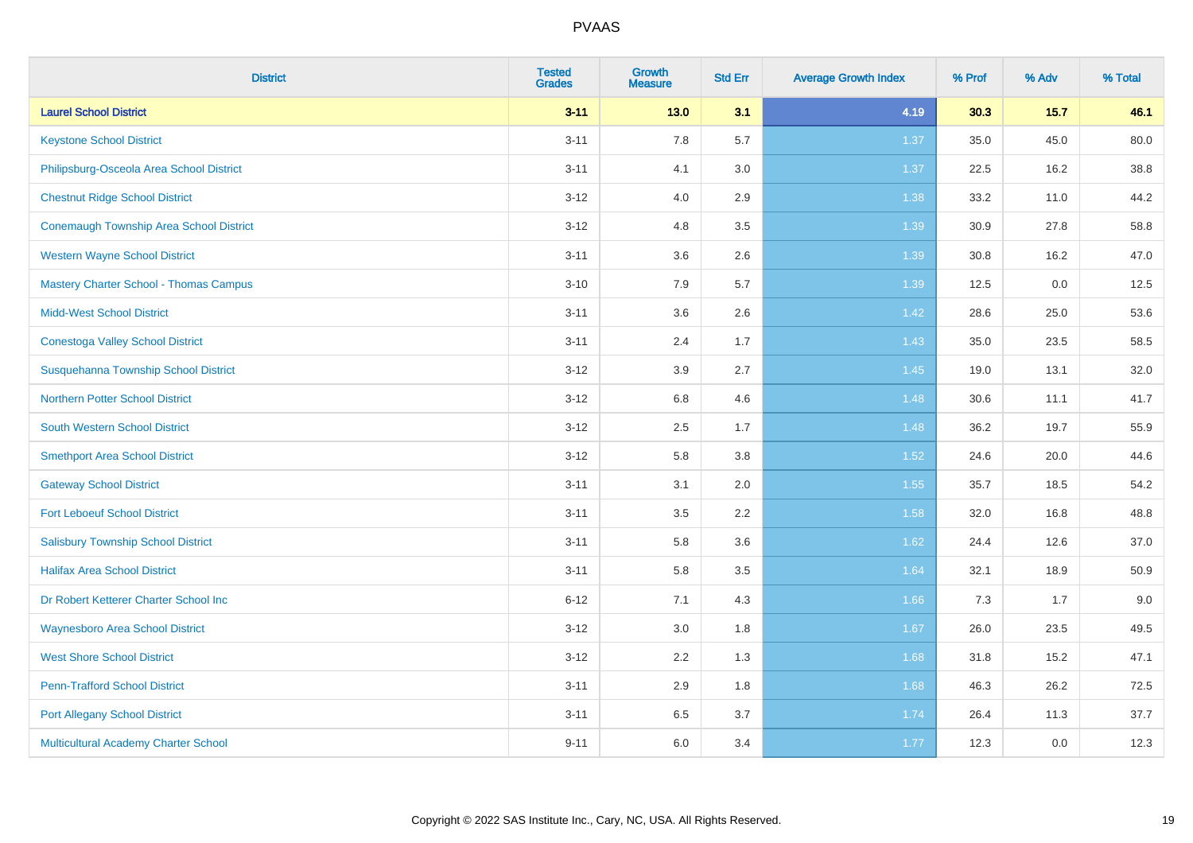| <b>District</b>                               | <b>Tested</b><br><b>Grades</b> | <b>Growth</b><br><b>Measure</b> | <b>Std Err</b> | <b>Average Growth Index</b> | % Prof | % Adv   | % Total |
|-----------------------------------------------|--------------------------------|---------------------------------|----------------|-----------------------------|--------|---------|---------|
| <b>Laurel School District</b>                 | $3 - 11$                       | $13.0$                          | 3.1            | 4.19                        | 30.3   | 15.7    | 46.1    |
| <b>Keystone School District</b>               | $3 - 11$                       | 7.8                             | 5.7            | 1.37                        | 35.0   | 45.0    | 80.0    |
| Philipsburg-Osceola Area School District      | $3 - 11$                       | 4.1                             | 3.0            | 1.37                        | 22.5   | 16.2    | 38.8    |
| <b>Chestnut Ridge School District</b>         | $3 - 12$                       | 4.0                             | 2.9            | 1.38                        | 33.2   | 11.0    | 44.2    |
| Conemaugh Township Area School District       | $3 - 12$                       | 4.8                             | 3.5            | 1.39                        | 30.9   | 27.8    | 58.8    |
| <b>Western Wayne School District</b>          | $3 - 11$                       | 3.6                             | 2.6            | 1.39                        | 30.8   | 16.2    | 47.0    |
| <b>Mastery Charter School - Thomas Campus</b> | $3 - 10$                       | 7.9                             | 5.7            | 1.39                        | 12.5   | $0.0\,$ | 12.5    |
| <b>Midd-West School District</b>              | $3 - 11$                       | 3.6                             | 2.6            | 1.42                        | 28.6   | 25.0    | 53.6    |
| <b>Conestoga Valley School District</b>       | $3 - 11$                       | 2.4                             | 1.7            | 1.43                        | 35.0   | 23.5    | 58.5    |
| Susquehanna Township School District          | $3 - 12$                       | $3.9\,$                         | 2.7            | $1.45$                      | 19.0   | 13.1    | 32.0    |
| <b>Northern Potter School District</b>        | $3 - 12$                       | 6.8                             | 4.6            | 1.48                        | 30.6   | 11.1    | 41.7    |
| <b>South Western School District</b>          | $3 - 12$                       | 2.5                             | 1.7            | 1.48                        | 36.2   | 19.7    | 55.9    |
| <b>Smethport Area School District</b>         | $3 - 12$                       | 5.8                             | 3.8            | 1.52                        | 24.6   | 20.0    | 44.6    |
| <b>Gateway School District</b>                | $3 - 11$                       | 3.1                             | 2.0            | 1.55                        | 35.7   | 18.5    | 54.2    |
| <b>Fort Leboeuf School District</b>           | $3 - 11$                       | $3.5\,$                         | 2.2            | 1.58                        | 32.0   | 16.8    | 48.8    |
| <b>Salisbury Township School District</b>     | $3 - 11$                       | 5.8                             | 3.6            | 1.62                        | 24.4   | 12.6    | 37.0    |
| <b>Halifax Area School District</b>           | $3 - 11$                       | 5.8                             | 3.5            | 1.64                        | 32.1   | 18.9    | 50.9    |
| Dr Robert Ketterer Charter School Inc         | $6 - 12$                       | 7.1                             | 4.3            | 1.66                        | 7.3    | 1.7     | 9.0     |
| <b>Waynesboro Area School District</b>        | $3 - 12$                       | 3.0                             | 1.8            | 1.67                        | 26.0   | 23.5    | 49.5    |
| <b>West Shore School District</b>             | $3 - 12$                       | 2.2                             | 1.3            | 1.68                        | 31.8   | 15.2    | 47.1    |
| <b>Penn-Trafford School District</b>          | $3 - 11$                       | 2.9                             | 1.8            | 1.68                        | 46.3   | 26.2    | 72.5    |
| <b>Port Allegany School District</b>          | $3 - 11$                       | 6.5                             | 3.7            | 1.74                        | 26.4   | 11.3    | 37.7    |
| <b>Multicultural Academy Charter School</b>   | $9 - 11$                       | 6.0                             | 3.4            | 1.77                        | 12.3   | 0.0     | 12.3    |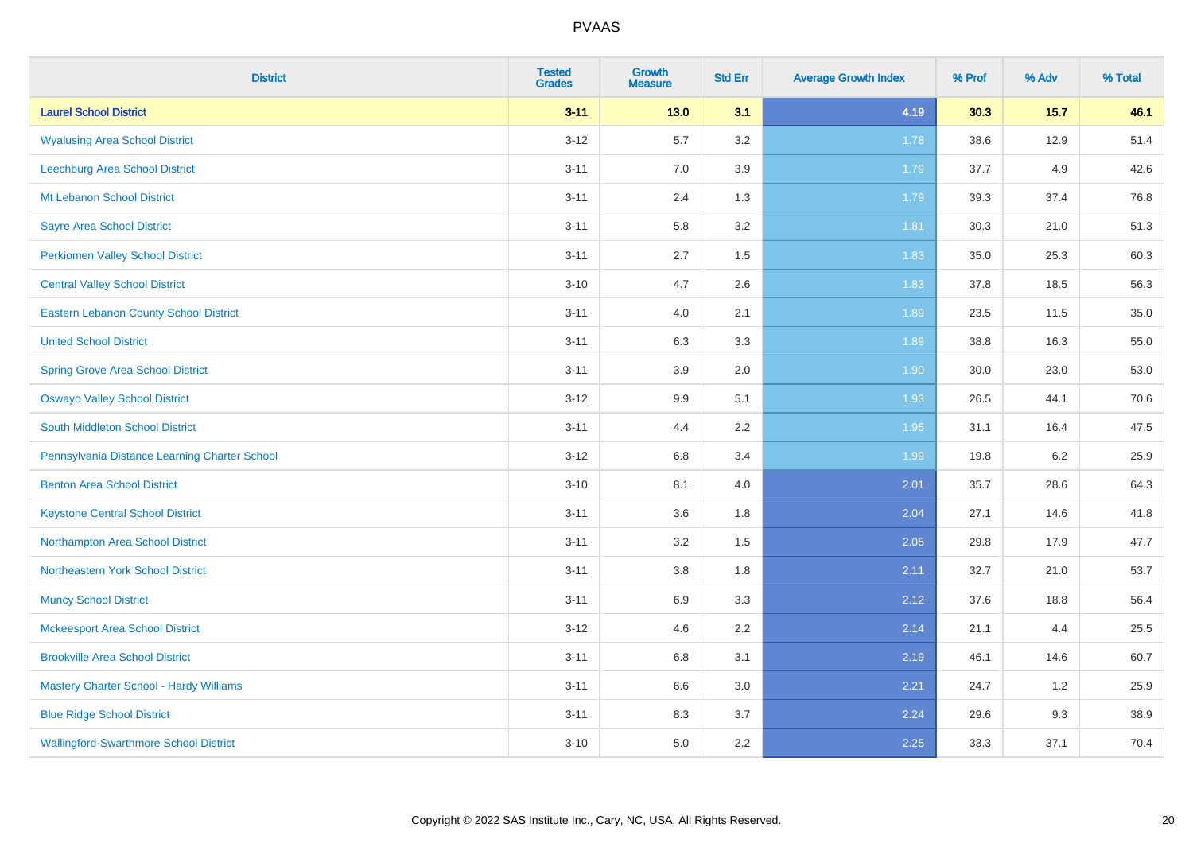| <b>District</b>                               | <b>Tested</b><br><b>Grades</b> | <b>Growth</b><br><b>Measure</b> | <b>Std Err</b> | <b>Average Growth Index</b> | % Prof | % Adv  | % Total |
|-----------------------------------------------|--------------------------------|---------------------------------|----------------|-----------------------------|--------|--------|---------|
| <b>Laurel School District</b>                 | $3 - 11$                       | $13.0$                          | 3.1            | 4.19                        | 30.3   | $15.7$ | 46.1    |
| <b>Wyalusing Area School District</b>         | $3 - 12$                       | 5.7                             | 3.2            | 1.78                        | 38.6   | 12.9   | 51.4    |
| Leechburg Area School District                | $3 - 11$                       | 7.0                             | 3.9            | 1.79                        | 37.7   | 4.9    | 42.6    |
| Mt Lebanon School District                    | $3 - 11$                       | 2.4                             | 1.3            | 1.79                        | 39.3   | 37.4   | 76.8    |
| <b>Sayre Area School District</b>             | $3 - 11$                       | 5.8                             | 3.2            | 1.81                        | 30.3   | 21.0   | 51.3    |
| <b>Perkiomen Valley School District</b>       | $3 - 11$                       | 2.7                             | 1.5            | 1.83                        | 35.0   | 25.3   | 60.3    |
| <b>Central Valley School District</b>         | $3 - 10$                       | 4.7                             | 2.6            | 1.83                        | 37.8   | 18.5   | 56.3    |
| <b>Eastern Lebanon County School District</b> | $3 - 11$                       | 4.0                             | 2.1            | 1.89                        | 23.5   | 11.5   | 35.0    |
| <b>United School District</b>                 | $3 - 11$                       | 6.3                             | 3.3            | 1.89                        | 38.8   | 16.3   | 55.0    |
| <b>Spring Grove Area School District</b>      | $3 - 11$                       | $3.9\,$                         | 2.0            | 1.90                        | 30.0   | 23.0   | 53.0    |
| <b>Oswayo Valley School District</b>          | $3 - 12$                       | 9.9                             | 5.1            | 1.93                        | 26.5   | 44.1   | 70.6    |
| <b>South Middleton School District</b>        | $3 - 11$                       | 4.4                             | 2.2            | 1.95                        | 31.1   | 16.4   | 47.5    |
| Pennsylvania Distance Learning Charter School | $3 - 12$                       | $6.8\,$                         | 3.4            | 1.99                        | 19.8   | 6.2    | 25.9    |
| <b>Benton Area School District</b>            | $3 - 10$                       | 8.1                             | 4.0            | 2.01                        | 35.7   | 28.6   | 64.3    |
| <b>Keystone Central School District</b>       | $3 - 11$                       | 3.6                             | 1.8            | 2.04                        | 27.1   | 14.6   | 41.8    |
| Northampton Area School District              | $3 - 11$                       | 3.2                             | 1.5            | 2.05                        | 29.8   | 17.9   | 47.7    |
| Northeastern York School District             | $3 - 11$                       | $3.8\,$                         | 1.8            | 2.11                        | 32.7   | 21.0   | 53.7    |
| <b>Muncy School District</b>                  | $3 - 11$                       | 6.9                             | 3.3            | 2.12                        | 37.6   | 18.8   | 56.4    |
| <b>Mckeesport Area School District</b>        | $3 - 12$                       | 4.6                             | 2.2            | 2.14                        | 21.1   | 4.4    | 25.5    |
| <b>Brookville Area School District</b>        | $3 - 11$                       | 6.8                             | 3.1            | 2.19                        | 46.1   | 14.6   | 60.7    |
| Mastery Charter School - Hardy Williams       | $3 - 11$                       | 6.6                             | 3.0            | 2.21                        | 24.7   | 1.2    | 25.9    |
| <b>Blue Ridge School District</b>             | $3 - 11$                       | 8.3                             | 3.7            | 2.24                        | 29.6   | 9.3    | 38.9    |
| <b>Wallingford-Swarthmore School District</b> | $3 - 10$                       | 5.0                             | 2.2            | 2.25                        | 33.3   | 37.1   | 70.4    |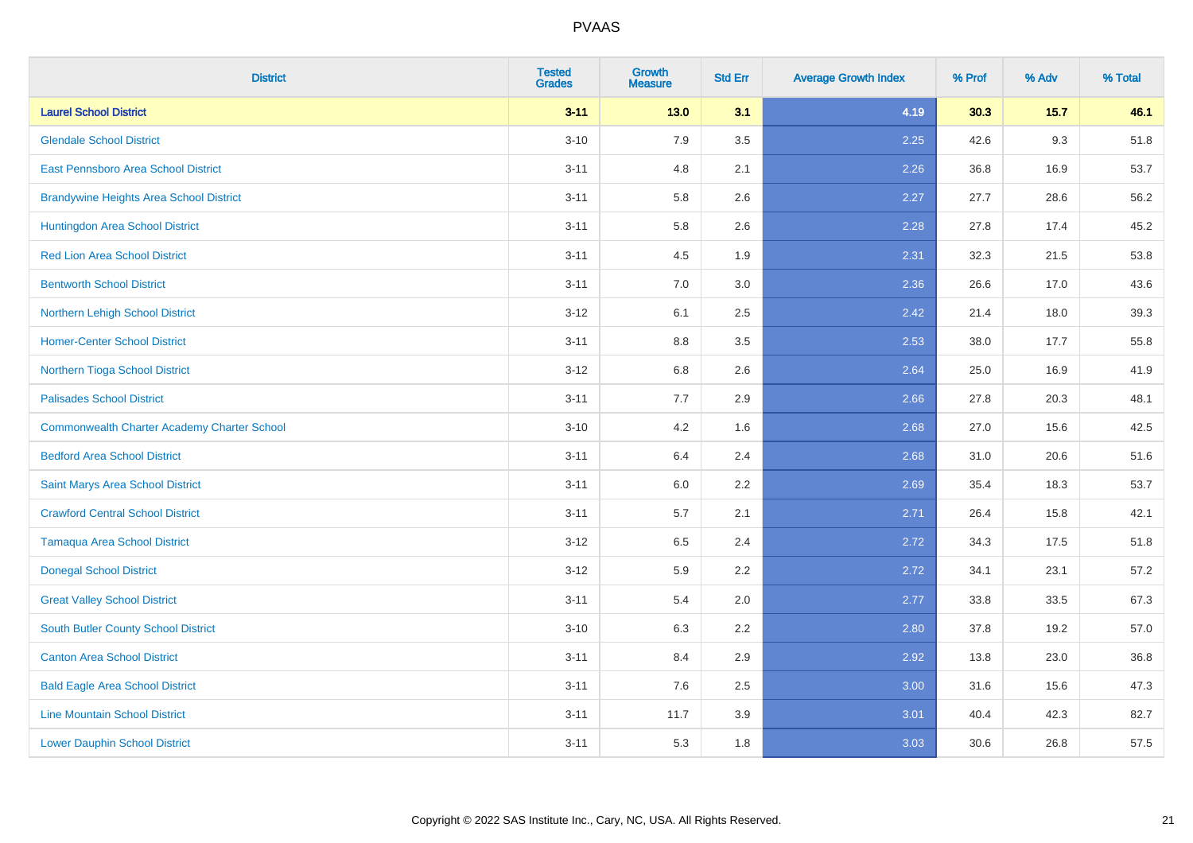| <b>District</b>                                    | <b>Tested</b><br><b>Grades</b> | <b>Growth</b><br><b>Measure</b> | <b>Std Err</b> | <b>Average Growth Index</b> | % Prof | % Adv  | % Total |
|----------------------------------------------------|--------------------------------|---------------------------------|----------------|-----------------------------|--------|--------|---------|
| <b>Laurel School District</b>                      | $3 - 11$                       | $13.0$                          | 3.1            | 4.19                        | 30.3   | $15.7$ | 46.1    |
| <b>Glendale School District</b>                    | $3 - 10$                       | 7.9                             | 3.5            | 2.25                        | 42.6   | 9.3    | 51.8    |
| East Pennsboro Area School District                | $3 - 11$                       | 4.8                             | 2.1            | 2.26                        | 36.8   | 16.9   | 53.7    |
| <b>Brandywine Heights Area School District</b>     | $3 - 11$                       | 5.8                             | 2.6            | 2.27                        | 27.7   | 28.6   | 56.2    |
| Huntingdon Area School District                    | $3 - 11$                       | 5.8                             | 2.6            | 2.28                        | 27.8   | 17.4   | 45.2    |
| <b>Red Lion Area School District</b>               | $3 - 11$                       | 4.5                             | 1.9            | 2.31                        | 32.3   | 21.5   | 53.8    |
| <b>Bentworth School District</b>                   | $3 - 11$                       | $7.0\,$                         | 3.0            | 2.36                        | 26.6   | 17.0   | 43.6    |
| <b>Northern Lehigh School District</b>             | $3 - 12$                       | 6.1                             | 2.5            | 2.42                        | 21.4   | 18.0   | 39.3    |
| <b>Homer-Center School District</b>                | $3 - 11$                       | 8.8                             | 3.5            | 2.53                        | 38.0   | 17.7   | 55.8    |
| Northern Tioga School District                     | $3 - 12$                       | $6.8\,$                         | 2.6            | 2.64                        | 25.0   | 16.9   | 41.9    |
| <b>Palisades School District</b>                   | $3 - 11$                       | 7.7                             | 2.9            | 2.66                        | 27.8   | 20.3   | 48.1    |
| <b>Commonwealth Charter Academy Charter School</b> | $3 - 10$                       | 4.2                             | 1.6            | 2.68                        | 27.0   | 15.6   | 42.5    |
| <b>Bedford Area School District</b>                | $3 - 11$                       | 6.4                             | 2.4            | 2.68                        | 31.0   | 20.6   | 51.6    |
| Saint Marys Area School District                   | $3 - 11$                       | 6.0                             | 2.2            | 2.69                        | 35.4   | 18.3   | 53.7    |
| <b>Crawford Central School District</b>            | $3 - 11$                       | 5.7                             | 2.1            | 2.71                        | 26.4   | 15.8   | 42.1    |
| <b>Tamaqua Area School District</b>                | $3 - 12$                       | 6.5                             | 2.4            | 2.72                        | 34.3   | 17.5   | 51.8    |
| <b>Donegal School District</b>                     | $3 - 12$                       | 5.9                             | 2.2            | 2.72                        | 34.1   | 23.1   | 57.2    |
| <b>Great Valley School District</b>                | $3 - 11$                       | 5.4                             | 2.0            | 2.77                        | 33.8   | 33.5   | 67.3    |
| South Butler County School District                | $3 - 10$                       | 6.3                             | 2.2            | 2.80                        | 37.8   | 19.2   | 57.0    |
| <b>Canton Area School District</b>                 | $3 - 11$                       | 8.4                             | 2.9            | 2.92                        | 13.8   | 23.0   | 36.8    |
| <b>Bald Eagle Area School District</b>             | $3 - 11$                       | 7.6                             | 2.5            | 3.00                        | 31.6   | 15.6   | 47.3    |
| <b>Line Mountain School District</b>               | $3 - 11$                       | 11.7                            | 3.9            | 3.01                        | 40.4   | 42.3   | 82.7    |
| <b>Lower Dauphin School District</b>               | $3 - 11$                       | 5.3                             | 1.8            | 3.03                        | 30.6   | 26.8   | 57.5    |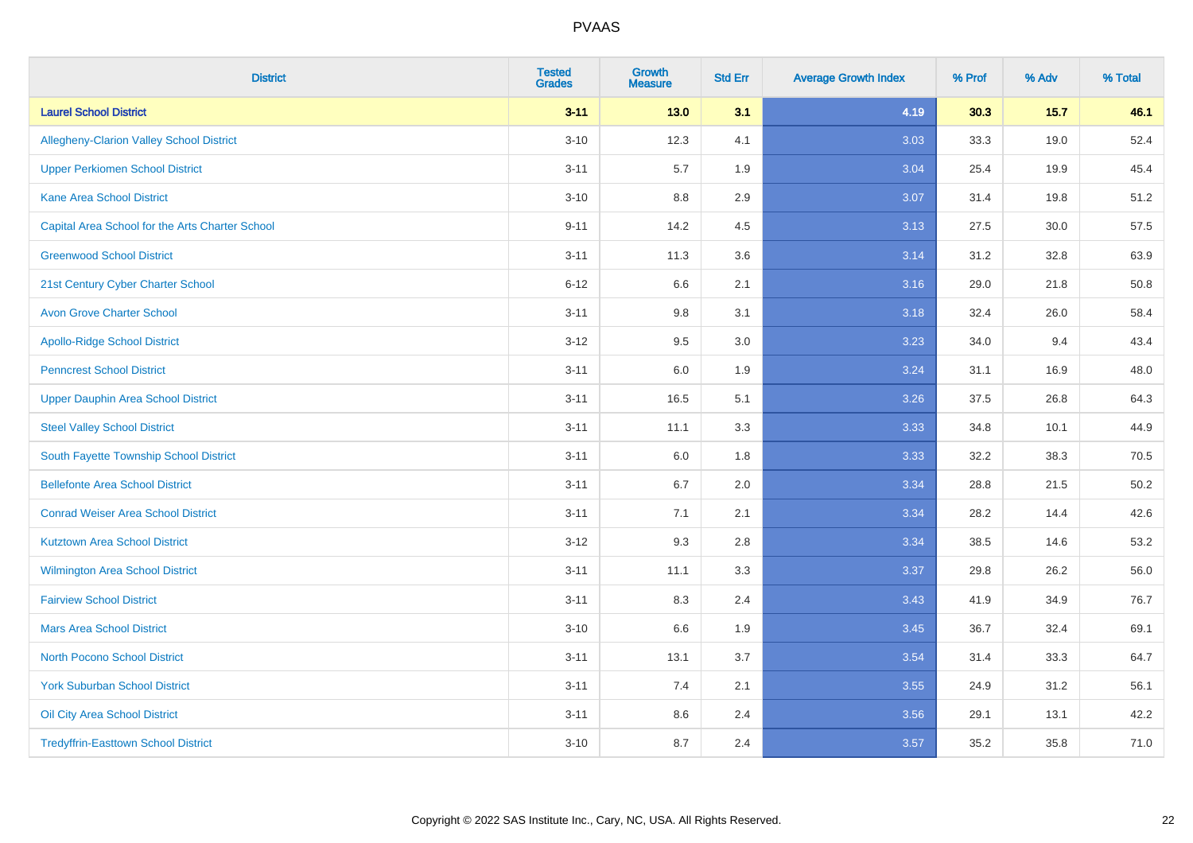| <b>District</b>                                 | <b>Tested</b><br><b>Grades</b> | <b>Growth</b><br><b>Measure</b> | <b>Std Err</b> | <b>Average Growth Index</b> | % Prof | % Adv  | % Total |
|-------------------------------------------------|--------------------------------|---------------------------------|----------------|-----------------------------|--------|--------|---------|
| <b>Laurel School District</b>                   | $3 - 11$                       | $13.0$                          | 3.1            | 4.19                        | 30.3   | $15.7$ | 46.1    |
| <b>Allegheny-Clarion Valley School District</b> | $3 - 10$                       | 12.3                            | 4.1            | 3.03                        | 33.3   | 19.0   | 52.4    |
| <b>Upper Perkiomen School District</b>          | $3 - 11$                       | 5.7                             | 1.9            | 3.04                        | 25.4   | 19.9   | 45.4    |
| <b>Kane Area School District</b>                | $3 - 10$                       | 8.8                             | 2.9            | 3.07                        | 31.4   | 19.8   | 51.2    |
| Capital Area School for the Arts Charter School | $9 - 11$                       | 14.2                            | 4.5            | 3.13                        | 27.5   | 30.0   | 57.5    |
| <b>Greenwood School District</b>                | $3 - 11$                       | 11.3                            | 3.6            | 3.14                        | 31.2   | 32.8   | 63.9    |
| 21st Century Cyber Charter School               | $6 - 12$                       | 6.6                             | 2.1            | 3.16                        | 29.0   | 21.8   | 50.8    |
| <b>Avon Grove Charter School</b>                | $3 - 11$                       | 9.8                             | 3.1            | 3.18                        | 32.4   | 26.0   | 58.4    |
| <b>Apollo-Ridge School District</b>             | $3 - 12$                       | 9.5                             | 3.0            | 3.23                        | 34.0   | 9.4    | 43.4    |
| <b>Penncrest School District</b>                | $3 - 11$                       | 6.0                             | 1.9            | 3.24                        | 31.1   | 16.9   | 48.0    |
| <b>Upper Dauphin Area School District</b>       | $3 - 11$                       | 16.5                            | 5.1            | 3.26                        | 37.5   | 26.8   | 64.3    |
| <b>Steel Valley School District</b>             | $3 - 11$                       | 11.1                            | 3.3            | 3.33                        | 34.8   | 10.1   | 44.9    |
| South Fayette Township School District          | $3 - 11$                       | 6.0                             | 1.8            | 3.33                        | 32.2   | 38.3   | 70.5    |
| <b>Bellefonte Area School District</b>          | $3 - 11$                       | 6.7                             | 2.0            | 3.34                        | 28.8   | 21.5   | 50.2    |
| <b>Conrad Weiser Area School District</b>       | $3 - 11$                       | 7.1                             | 2.1            | 3.34                        | 28.2   | 14.4   | 42.6    |
| <b>Kutztown Area School District</b>            | $3 - 12$                       | 9.3                             | 2.8            | 3.34                        | 38.5   | 14.6   | 53.2    |
| <b>Wilmington Area School District</b>          | $3 - 11$                       | 11.1                            | 3.3            | 3.37                        | 29.8   | 26.2   | 56.0    |
| <b>Fairview School District</b>                 | $3 - 11$                       | 8.3                             | 2.4            | 3.43                        | 41.9   | 34.9   | 76.7    |
| <b>Mars Area School District</b>                | $3 - 10$                       | 6.6                             | 1.9            | 3.45                        | 36.7   | 32.4   | 69.1    |
| <b>North Pocono School District</b>             | $3 - 11$                       | 13.1                            | 3.7            | 3.54                        | 31.4   | 33.3   | 64.7    |
| <b>York Suburban School District</b>            | $3 - 11$                       | 7.4                             | 2.1            | 3.55                        | 24.9   | 31.2   | 56.1    |
| Oil City Area School District                   | $3 - 11$                       | 8.6                             | 2.4            | 3.56                        | 29.1   | 13.1   | 42.2    |
| <b>Tredyffrin-Easttown School District</b>      | $3 - 10$                       | 8.7                             | 2.4            | 3.57                        | 35.2   | 35.8   | 71.0    |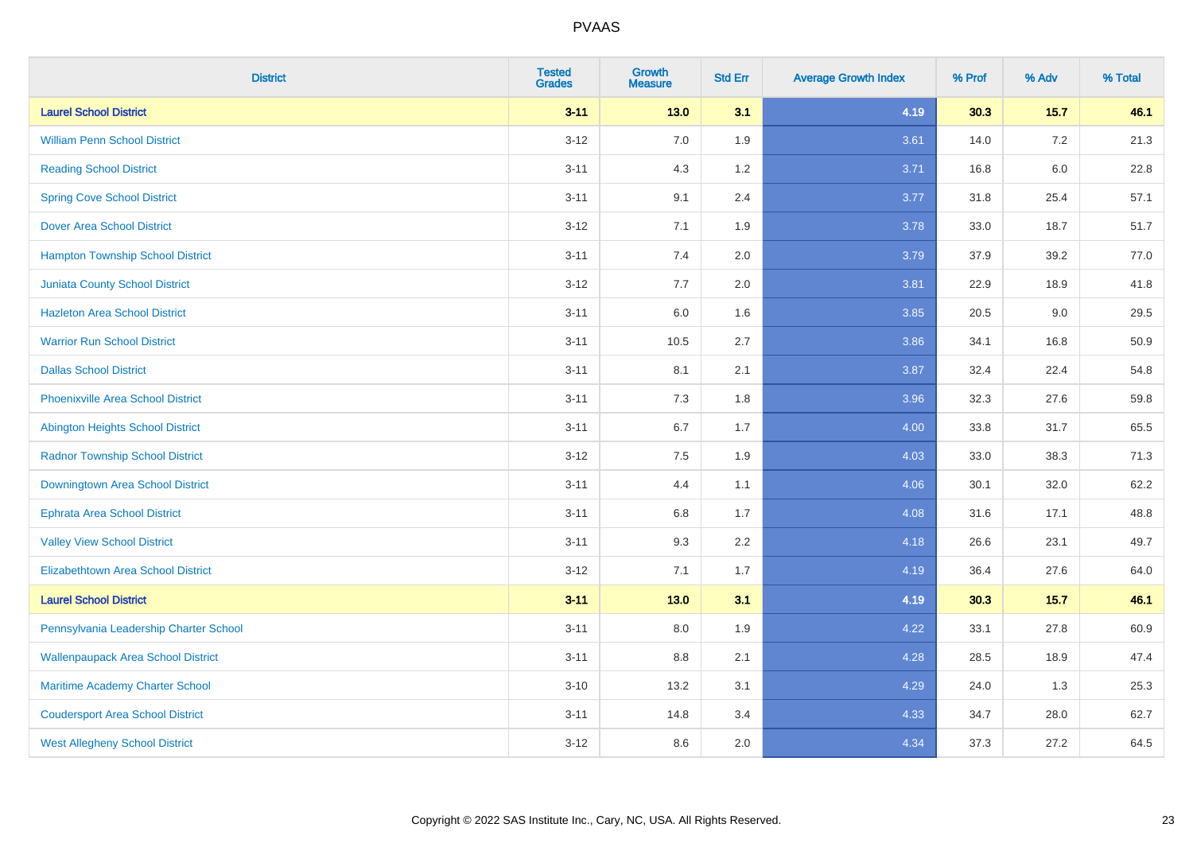| <b>District</b>                           | <b>Tested</b><br><b>Grades</b> | <b>Growth</b><br><b>Measure</b> | <b>Std Err</b> | <b>Average Growth Index</b> | % Prof | % Adv  | % Total |
|-------------------------------------------|--------------------------------|---------------------------------|----------------|-----------------------------|--------|--------|---------|
| <b>Laurel School District</b>             | $3 - 11$                       | $13.0$                          | 3.1            | 4.19                        | 30.3   | $15.7$ | 46.1    |
| <b>William Penn School District</b>       | $3 - 12$                       | 7.0                             | 1.9            | 3.61                        | 14.0   | 7.2    | 21.3    |
| <b>Reading School District</b>            | $3 - 11$                       | 4.3                             | 1.2            | 3.71                        | 16.8   | 6.0    | 22.8    |
| <b>Spring Cove School District</b>        | $3 - 11$                       | 9.1                             | 2.4            | 3.77                        | 31.8   | 25.4   | 57.1    |
| <b>Dover Area School District</b>         | $3 - 12$                       | 7.1                             | 1.9            | 3.78                        | 33.0   | 18.7   | 51.7    |
| <b>Hampton Township School District</b>   | $3 - 11$                       | 7.4                             | 2.0            | 3.79                        | 37.9   | 39.2   | 77.0    |
| <b>Juniata County School District</b>     | $3 - 12$                       | 7.7                             | 2.0            | 3.81                        | 22.9   | 18.9   | 41.8    |
| <b>Hazleton Area School District</b>      | $3 - 11$                       | 6.0                             | 1.6            | 3.85                        | 20.5   | 9.0    | 29.5    |
| <b>Warrior Run School District</b>        | $3 - 11$                       | 10.5                            | 2.7            | 3.86                        | 34.1   | 16.8   | 50.9    |
| <b>Dallas School District</b>             | $3 - 11$                       | 8.1                             | 2.1            | 3.87                        | 32.4   | 22.4   | 54.8    |
| <b>Phoenixville Area School District</b>  | $3 - 11$                       | 7.3                             | 1.8            | 3.96                        | 32.3   | 27.6   | 59.8    |
| <b>Abington Heights School District</b>   | $3 - 11$                       | 6.7                             | 1.7            | 4.00                        | 33.8   | 31.7   | 65.5    |
| <b>Radnor Township School District</b>    | $3 - 12$                       | 7.5                             | 1.9            | 4.03                        | 33.0   | 38.3   | 71.3    |
| Downingtown Area School District          | $3 - 11$                       | 4.4                             | 1.1            | 4.06                        | 30.1   | 32.0   | 62.2    |
| <b>Ephrata Area School District</b>       | $3 - 11$                       | $6.8\,$                         | 1.7            | 4.08                        | 31.6   | 17.1   | 48.8    |
| <b>Valley View School District</b>        | $3 - 11$                       | 9.3                             | 2.2            | 4.18                        | 26.6   | 23.1   | 49.7    |
| <b>Elizabethtown Area School District</b> | $3 - 12$                       | 7.1                             | 1.7            | 4.19                        | 36.4   | 27.6   | 64.0    |
| <b>Laurel School District</b>             | $3 - 11$                       | $13.0$                          | 3.1            | 4.19                        | 30.3   | 15.7   | 46.1    |
| Pennsylvania Leadership Charter School    | $3 - 11$                       | 8.0                             | 1.9            | 4.22                        | 33.1   | 27.8   | 60.9    |
| <b>Wallenpaupack Area School District</b> | $3 - 11$                       | 8.8                             | 2.1            | 4.28                        | 28.5   | 18.9   | 47.4    |
| Maritime Academy Charter School           | $3 - 10$                       | 13.2                            | 3.1            | 4.29                        | 24.0   | 1.3    | 25.3    |
| <b>Coudersport Area School District</b>   | $3 - 11$                       | 14.8                            | 3.4            | 4.33                        | 34.7   | 28.0   | 62.7    |
| <b>West Allegheny School District</b>     | $3 - 12$                       | 8.6                             | 2.0            | 4.34                        | 37.3   | 27.2   | 64.5    |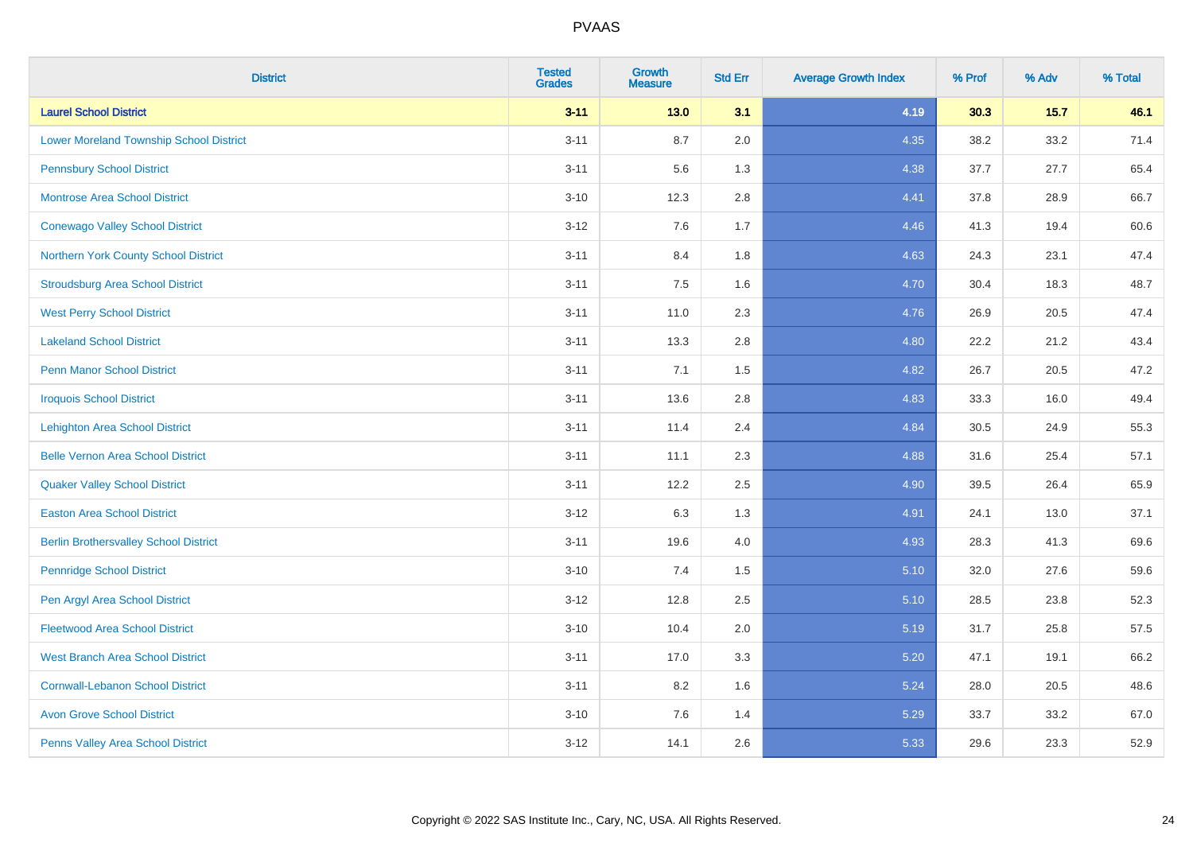| <b>District</b>                                | <b>Tested</b><br><b>Grades</b> | <b>Growth</b><br><b>Measure</b> | <b>Std Err</b> | <b>Average Growth Index</b> | % Prof | % Adv | % Total |
|------------------------------------------------|--------------------------------|---------------------------------|----------------|-----------------------------|--------|-------|---------|
| <b>Laurel School District</b>                  | $3 - 11$                       | $13.0$                          | 3.1            | 4.19                        | 30.3   | 15.7  | 46.1    |
| <b>Lower Moreland Township School District</b> | $3 - 11$                       | 8.7                             | 2.0            | 4.35                        | 38.2   | 33.2  | 71.4    |
| <b>Pennsbury School District</b>               | $3 - 11$                       | 5.6                             | 1.3            | 4.38                        | 37.7   | 27.7  | 65.4    |
| <b>Montrose Area School District</b>           | $3 - 10$                       | 12.3                            | 2.8            | 4.41                        | 37.8   | 28.9  | 66.7    |
| <b>Conewago Valley School District</b>         | $3 - 12$                       | 7.6                             | 1.7            | 4.46                        | 41.3   | 19.4  | 60.6    |
| Northern York County School District           | $3 - 11$                       | 8.4                             | 1.8            | 4.63                        | 24.3   | 23.1  | 47.4    |
| <b>Stroudsburg Area School District</b>        | $3 - 11$                       | $7.5\,$                         | 1.6            | 4.70                        | 30.4   | 18.3  | 48.7    |
| <b>West Perry School District</b>              | $3 - 11$                       | 11.0                            | 2.3            | 4.76                        | 26.9   | 20.5  | 47.4    |
| <b>Lakeland School District</b>                | $3 - 11$                       | 13.3                            | 2.8            | 4.80                        | 22.2   | 21.2  | 43.4    |
| <b>Penn Manor School District</b>              | $3 - 11$                       | 7.1                             | 1.5            | 4.82                        | 26.7   | 20.5  | 47.2    |
| <b>Iroquois School District</b>                | $3 - 11$                       | 13.6                            | 2.8            | 4.83                        | 33.3   | 16.0  | 49.4    |
| <b>Lehighton Area School District</b>          | $3 - 11$                       | 11.4                            | 2.4            | 4.84                        | 30.5   | 24.9  | 55.3    |
| <b>Belle Vernon Area School District</b>       | $3 - 11$                       | 11.1                            | 2.3            | 4.88                        | 31.6   | 25.4  | 57.1    |
| <b>Quaker Valley School District</b>           | $3 - 11$                       | 12.2                            | 2.5            | 4.90                        | 39.5   | 26.4  | 65.9    |
| <b>Easton Area School District</b>             | $3 - 12$                       | 6.3                             | 1.3            | 4.91                        | 24.1   | 13.0  | 37.1    |
| <b>Berlin Brothersvalley School District</b>   | $3 - 11$                       | 19.6                            | 4.0            | 4.93                        | 28.3   | 41.3  | 69.6    |
| <b>Pennridge School District</b>               | $3 - 10$                       | 7.4                             | 1.5            | 5.10                        | 32.0   | 27.6  | 59.6    |
| Pen Argyl Area School District                 | $3 - 12$                       | 12.8                            | 2.5            | 5.10                        | 28.5   | 23.8  | 52.3    |
| <b>Fleetwood Area School District</b>          | $3 - 10$                       | 10.4                            | 2.0            | 5.19                        | 31.7   | 25.8  | 57.5    |
| <b>West Branch Area School District</b>        | $3 - 11$                       | 17.0                            | 3.3            | 5.20                        | 47.1   | 19.1  | 66.2    |
| <b>Cornwall-Lebanon School District</b>        | $3 - 11$                       | 8.2                             | 1.6            | 5.24                        | 28.0   | 20.5  | 48.6    |
| <b>Avon Grove School District</b>              | $3 - 10$                       | 7.6                             | 1.4            | 5.29                        | 33.7   | 33.2  | 67.0    |
| Penns Valley Area School District              | $3 - 12$                       | 14.1                            | 2.6            | 5.33                        | 29.6   | 23.3  | 52.9    |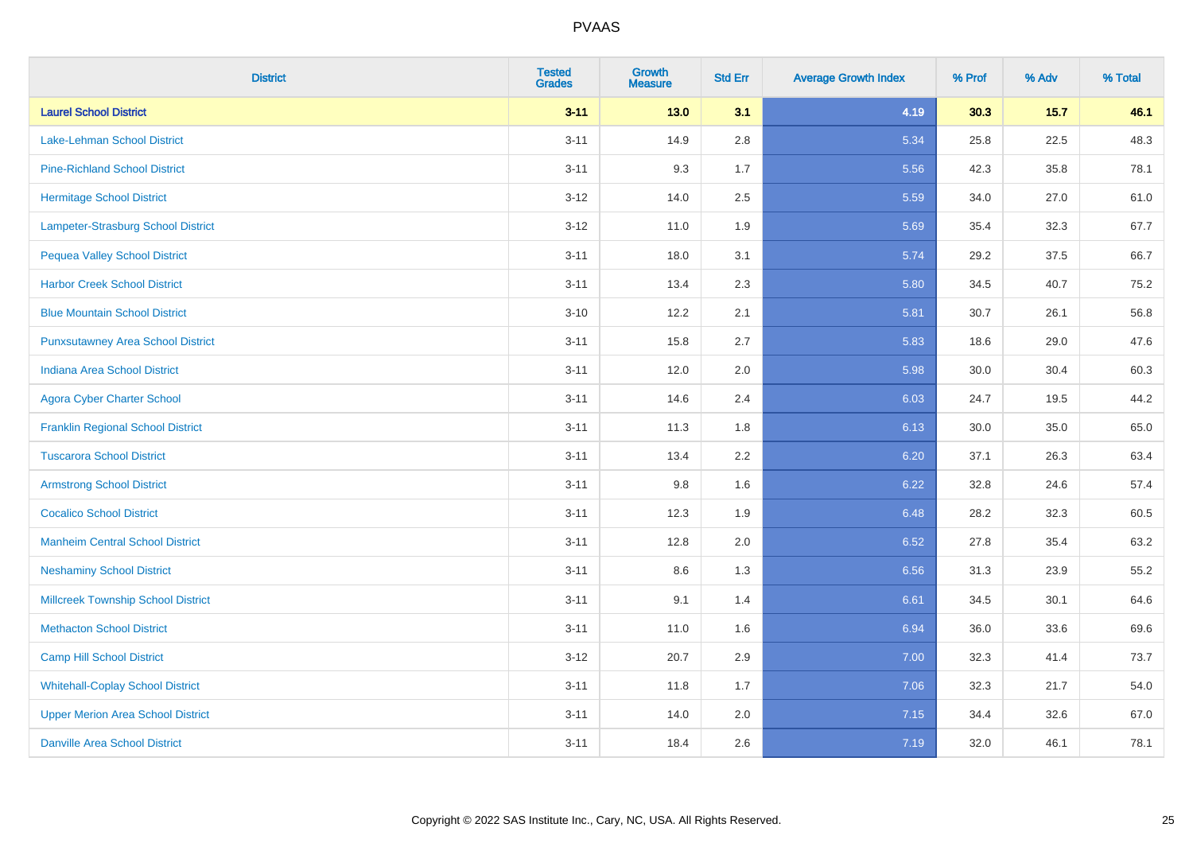| <b>District</b>                           | <b>Tested</b><br><b>Grades</b> | <b>Growth</b><br><b>Measure</b> | <b>Std Err</b> | <b>Average Growth Index</b> | % Prof | % Adv  | % Total |
|-------------------------------------------|--------------------------------|---------------------------------|----------------|-----------------------------|--------|--------|---------|
| <b>Laurel School District</b>             | $3 - 11$                       | $13.0$                          | 3.1            | 4.19                        | 30.3   | $15.7$ | 46.1    |
| Lake-Lehman School District               | $3 - 11$                       | 14.9                            | 2.8            | 5.34                        | 25.8   | 22.5   | 48.3    |
| <b>Pine-Richland School District</b>      | $3 - 11$                       | 9.3                             | 1.7            | 5.56                        | 42.3   | 35.8   | 78.1    |
| <b>Hermitage School District</b>          | $3 - 12$                       | 14.0                            | 2.5            | 5.59                        | 34.0   | 27.0   | 61.0    |
| Lampeter-Strasburg School District        | $3 - 12$                       | 11.0                            | 1.9            | 5.69                        | 35.4   | 32.3   | 67.7    |
| <b>Pequea Valley School District</b>      | $3 - 11$                       | 18.0                            | 3.1            | 5.74                        | 29.2   | 37.5   | 66.7    |
| <b>Harbor Creek School District</b>       | $3 - 11$                       | 13.4                            | 2.3            | 5.80                        | 34.5   | 40.7   | 75.2    |
| <b>Blue Mountain School District</b>      | $3 - 10$                       | 12.2                            | 2.1            | 5.81                        | 30.7   | 26.1   | 56.8    |
| <b>Punxsutawney Area School District</b>  | $3 - 11$                       | 15.8                            | 2.7            | 5.83                        | 18.6   | 29.0   | 47.6    |
| <b>Indiana Area School District</b>       | $3 - 11$                       | 12.0                            | 2.0            | 5.98                        | 30.0   | 30.4   | 60.3    |
| <b>Agora Cyber Charter School</b>         | $3 - 11$                       | 14.6                            | 2.4            | 6.03                        | 24.7   | 19.5   | 44.2    |
| <b>Franklin Regional School District</b>  | $3 - 11$                       | 11.3                            | 1.8            | 6.13                        | 30.0   | 35.0   | 65.0    |
| <b>Tuscarora School District</b>          | $3 - 11$                       | 13.4                            | 2.2            | 6.20                        | 37.1   | 26.3   | 63.4    |
| <b>Armstrong School District</b>          | $3 - 11$                       | 9.8                             | 1.6            | 6.22                        | 32.8   | 24.6   | 57.4    |
| <b>Cocalico School District</b>           | $3 - 11$                       | 12.3                            | 1.9            | 6.48                        | 28.2   | 32.3   | 60.5    |
| <b>Manheim Central School District</b>    | $3 - 11$                       | 12.8                            | 2.0            | 6.52                        | 27.8   | 35.4   | 63.2    |
| <b>Neshaminy School District</b>          | $3 - 11$                       | 8.6                             | 1.3            | 6.56                        | 31.3   | 23.9   | 55.2    |
| <b>Millcreek Township School District</b> | $3 - 11$                       | 9.1                             | 1.4            | 6.61                        | 34.5   | 30.1   | 64.6    |
| <b>Methacton School District</b>          | $3 - 11$                       | 11.0                            | 1.6            | 6.94                        | 36.0   | 33.6   | 69.6    |
| <b>Camp Hill School District</b>          | $3 - 12$                       | 20.7                            | 2.9            | 7.00                        | 32.3   | 41.4   | 73.7    |
| <b>Whitehall-Coplay School District</b>   | $3 - 11$                       | 11.8                            | 1.7            | 7.06                        | 32.3   | 21.7   | 54.0    |
| <b>Upper Merion Area School District</b>  | $3 - 11$                       | 14.0                            | 2.0            | 7.15                        | 34.4   | 32.6   | 67.0    |
| <b>Danville Area School District</b>      | $3 - 11$                       | 18.4                            | 2.6            | 7.19                        | 32.0   | 46.1   | 78.1    |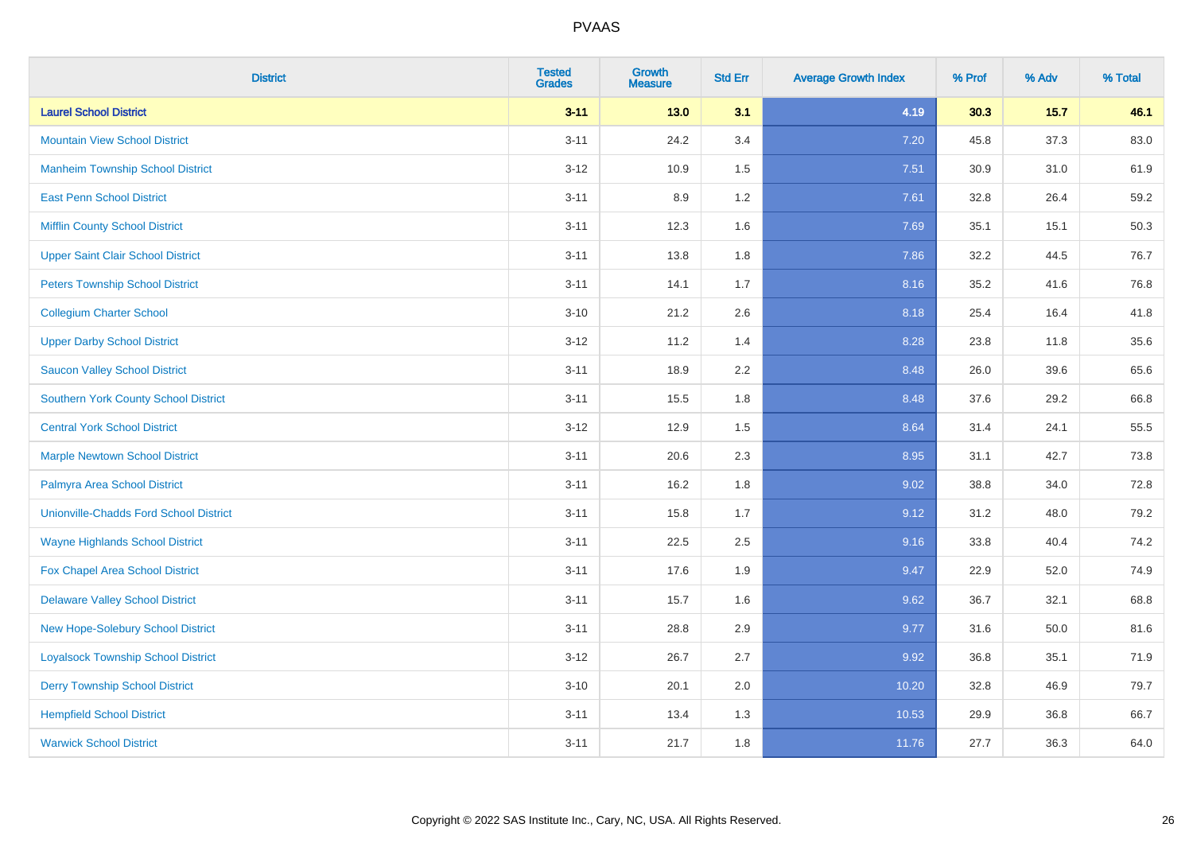| <b>District</b>                               | <b>Tested</b><br><b>Grades</b> | <b>Growth</b><br><b>Measure</b> | <b>Std Err</b> | <b>Average Growth Index</b> | % Prof | % Adv  | % Total |
|-----------------------------------------------|--------------------------------|---------------------------------|----------------|-----------------------------|--------|--------|---------|
| <b>Laurel School District</b>                 | $3 - 11$                       | $13.0$                          | 3.1            | 4.19                        | 30.3   | $15.7$ | 46.1    |
| <b>Mountain View School District</b>          | $3 - 11$                       | 24.2                            | 3.4            | 7.20                        | 45.8   | 37.3   | 83.0    |
| <b>Manheim Township School District</b>       | $3 - 12$                       | 10.9                            | 1.5            | 7.51                        | 30.9   | 31.0   | 61.9    |
| <b>East Penn School District</b>              | $3 - 11$                       | 8.9                             | 1.2            | 7.61                        | 32.8   | 26.4   | 59.2    |
| <b>Mifflin County School District</b>         | $3 - 11$                       | 12.3                            | 1.6            | 7.69                        | 35.1   | 15.1   | 50.3    |
| <b>Upper Saint Clair School District</b>      | $3 - 11$                       | 13.8                            | 1.8            | 7.86                        | 32.2   | 44.5   | 76.7    |
| <b>Peters Township School District</b>        | $3 - 11$                       | 14.1                            | 1.7            | 8.16                        | 35.2   | 41.6   | 76.8    |
| <b>Collegium Charter School</b>               | $3 - 10$                       | 21.2                            | 2.6            | 8.18                        | 25.4   | 16.4   | 41.8    |
| <b>Upper Darby School District</b>            | $3 - 12$                       | 11.2                            | 1.4            | 8.28                        | 23.8   | 11.8   | 35.6    |
| <b>Saucon Valley School District</b>          | $3 - 11$                       | 18.9                            | 2.2            | 8.48                        | 26.0   | 39.6   | 65.6    |
| <b>Southern York County School District</b>   | $3 - 11$                       | 15.5                            | 1.8            | 8.48                        | 37.6   | 29.2   | 66.8    |
| <b>Central York School District</b>           | $3 - 12$                       | 12.9                            | 1.5            | 8.64                        | 31.4   | 24.1   | 55.5    |
| <b>Marple Newtown School District</b>         | $3 - 11$                       | 20.6                            | 2.3            | 8.95                        | 31.1   | 42.7   | 73.8    |
| Palmyra Area School District                  | $3 - 11$                       | 16.2                            | 1.8            | 9.02                        | 38.8   | 34.0   | 72.8    |
| <b>Unionville-Chadds Ford School District</b> | $3 - 11$                       | 15.8                            | 1.7            | 9.12                        | 31.2   | 48.0   | 79.2    |
| <b>Wayne Highlands School District</b>        | $3 - 11$                       | 22.5                            | 2.5            | 9.16                        | 33.8   | 40.4   | 74.2    |
| Fox Chapel Area School District               | $3 - 11$                       | 17.6                            | 1.9            | 9.47                        | 22.9   | 52.0   | 74.9    |
| <b>Delaware Valley School District</b>        | $3 - 11$                       | 15.7                            | 1.6            | 9.62                        | 36.7   | 32.1   | 68.8    |
| New Hope-Solebury School District             | $3 - 11$                       | 28.8                            | 2.9            | 9.77                        | 31.6   | 50.0   | 81.6    |
| <b>Loyalsock Township School District</b>     | $3 - 12$                       | 26.7                            | 2.7            | 9.92                        | 36.8   | 35.1   | 71.9    |
| <b>Derry Township School District</b>         | $3 - 10$                       | 20.1                            | 2.0            | 10.20                       | 32.8   | 46.9   | 79.7    |
| <b>Hempfield School District</b>              | $3 - 11$                       | 13.4                            | 1.3            | 10.53                       | 29.9   | 36.8   | 66.7    |
| <b>Warwick School District</b>                | $3 - 11$                       | 21.7                            | 1.8            | 11.76                       | 27.7   | 36.3   | 64.0    |